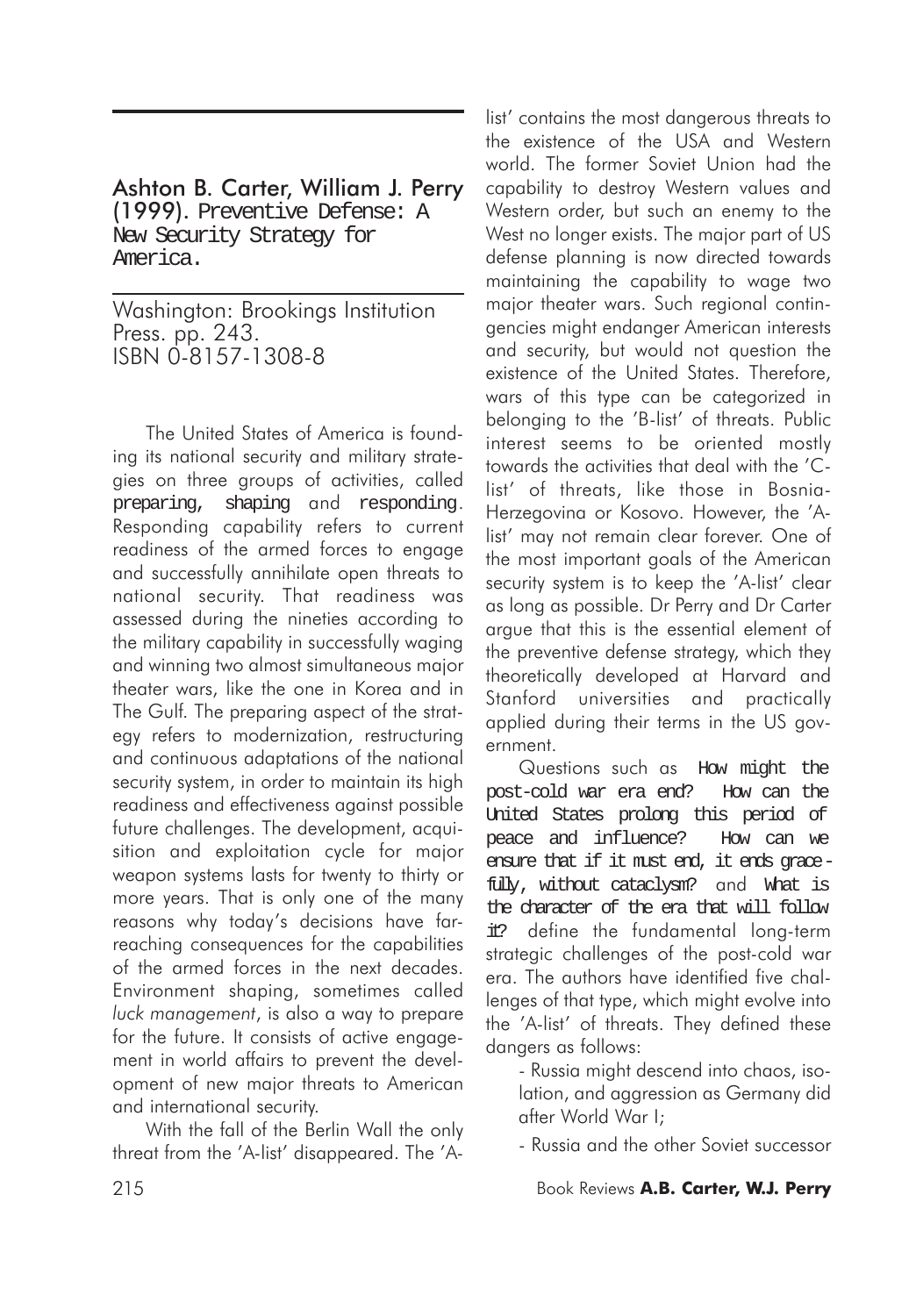Ashton B. Carter, William J. Perry (1999). Preventive Defense: A New Security Strategy for America.

Washington: Brookings Institution Press. pp. 243. ISBN 0-8157-1308-8

The United States of America is founding its national security and military strategies on three groups of activities, called preparing, shaping and responding. Responding capability refers to current readiness of the armed forces to engage and successfully annihilate open threats to national security. That readiness was assessed during the nineties according to the military capability in successfully waging and winning two almost simultaneous major theater wars, like the one in Korea and in The Gulf. The preparing aspect of the strategy refers to modernization, restructuring and continuous adaptations of the national security system, in order to maintain its high readiness and effectiveness against possible future challenges. The development, acquisition and exploitation cycle for major weapon systems lasts for twenty to thirty or more years. That is only one of the many reasons why today's decisions have farreaching consequences for the capabilities of the armed forces in the next decades. Environment shaping, sometimes called *luck management*, is also a way to prepare for the future. It consists of active engagement in world affairs to prevent the development of new major threats to American and international security.

With the fall of the Berlin Wall the only threat from the 'A-list' disappeared. The 'A-

list' contains the most dangerous threats to the existence of the USA and Western world. The former Soviet Union had the capability to destroy Western values and Western order, but such an enemy to the West no longer exists. The major part of US defense planning is now directed towards maintaining the capability to wage two major theater wars. Such regional contingencies might endanger American interests and security, but would not question the existence of the United States. Therefore, wars of this type can be categorized in belonging to the 'B-list' of threats. Public interest seems to be oriented mostly towards the activities that deal with the 'Clist' of threats, like those in Bosnia-Herzegovina or Kosovo. However, the 'Alist' may not remain clear forever. One of the most important goals of the American security system is to keep the 'A-list' clear as long as possible. Dr Perry and Dr Carter argue that this is the essential element of the preventive defense strategy, which they theoretically developed at Harvard and Stanford universities and practically applied during their terms in the US government.

Questions such as How might the post-cold war era end? How can the United States prolong this period of peace and influence? How can we ensure that if it must end, it ends gracefully, without cataclysm? and What is the character of the era that will follow it? define the fundamental long-term strategic challenges of the post-cold war era. The authors have identified five challenges of that type, which might evolve into the 'A-list' of threats. They defined these dangers as follows:

- Russia might descend into chaos, isolation, and aggression as Germany did after World War I;

- Russia and the other Soviet successor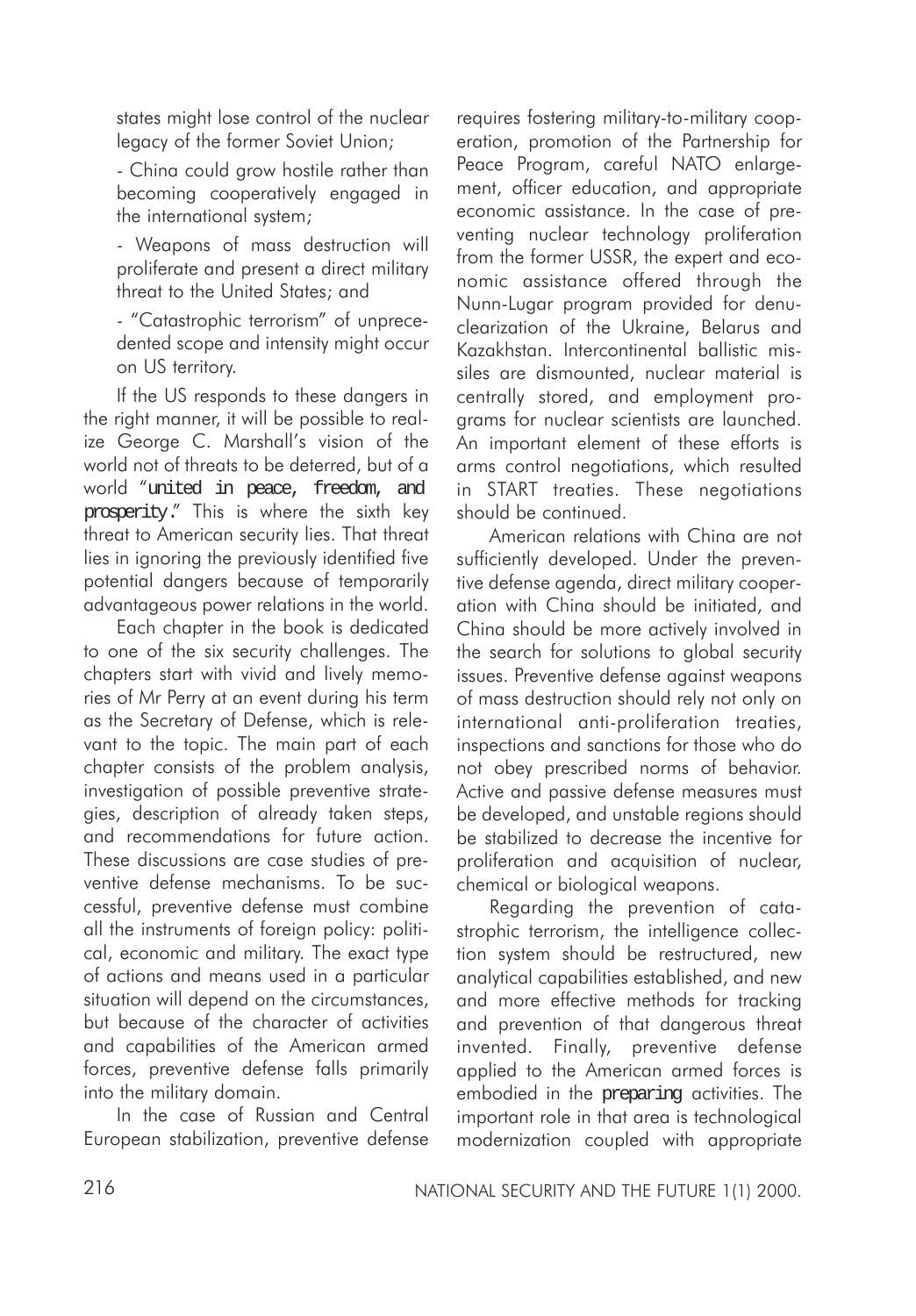states might lose control of the nuclear legacy of the former Soviet Union;

- China could grow hostile rather than becoming cooperatively engaged in the international system;

- Weapons of mass destruction will proliferate and present a direct military threat to the United States; and

- "Catastrophic terrorism" of unprecedented scope and intensity might occur on US territory.

If the US responds to these dangers in the right manner, it will be possible to realize George C. Marshall's vision of the world not of threats to be deterred, but of a world "united in peace, freedom, and prosperity." This is where the sixth key threat to American security lies. That threat lies in ignoring the previously identified five potential dangers because of temporarily advantageous power relations in the world.

Each chapter in the book is dedicated to one of the six security challenges. The chapters start with vivid and lively memories of Mr Perry at an event during his term as the Secretary of Defense, which is relevant to the topic. The main part of each chapter consists of the problem analysis, investigation of possible preventive strategies, description of already taken steps, and recommendations for future action. These discussions are case studies of preventive defense mechanisms. To be successful, preventive defense must combine all the instruments of foreign policy: political, economic and military. The exact type of actions and means used in a particular situation will depend on the circumstances, but because of the character of activities and capabilities of the American armed forces, preventive defense falls primarily into the military domain.

In the case of Russian and Central European stabilization, preventive defense

requires fostering military-to-military cooperation, promotion of the Partnership for Peace Program, careful NATO enlargement, officer education, and appropriate economic assistance. In the case of preventing nuclear technology proliferation from the former USSR, the expert and economic assistance offered through the Nunn-Lugar program provided for denuclearization of the Ukraine, Belarus and Kazakhstan. Intercontinental ballistic missiles are dismounted, nuclear material is centrally stored, and employment programs for nuclear scientists are launched. An important element of these efforts is arms control negotiations, which resulted in START treaties. These negotiations should be continued.

American relations with China are not sufficiently developed. Under the preventive defense agenda, direct military cooperation with China should be initiated, and China should be more actively involved in the search for solutions to global security issues. Preventive defense against weapons of mass destruction should rely not only on international anti-proliferation treaties, inspections and sanctions for those who do not obey prescribed norms of behavior. Active and passive defense measures must be developed, and unstable regions should be stabilized to decrease the incentive for proliferation and acquisition of nuclear, chemical or biological weapons.

Regarding the prevention of catastrophic terrorism, the intelligence collection system should be restructured, new analytical capabilities established, and new and more effective methods for tracking and prevention of that dangerous threat invented. Finally, preventive defense applied to the American armed forces is embodied in the preparing activities. The important role in that area is technological modernization coupled with appropriate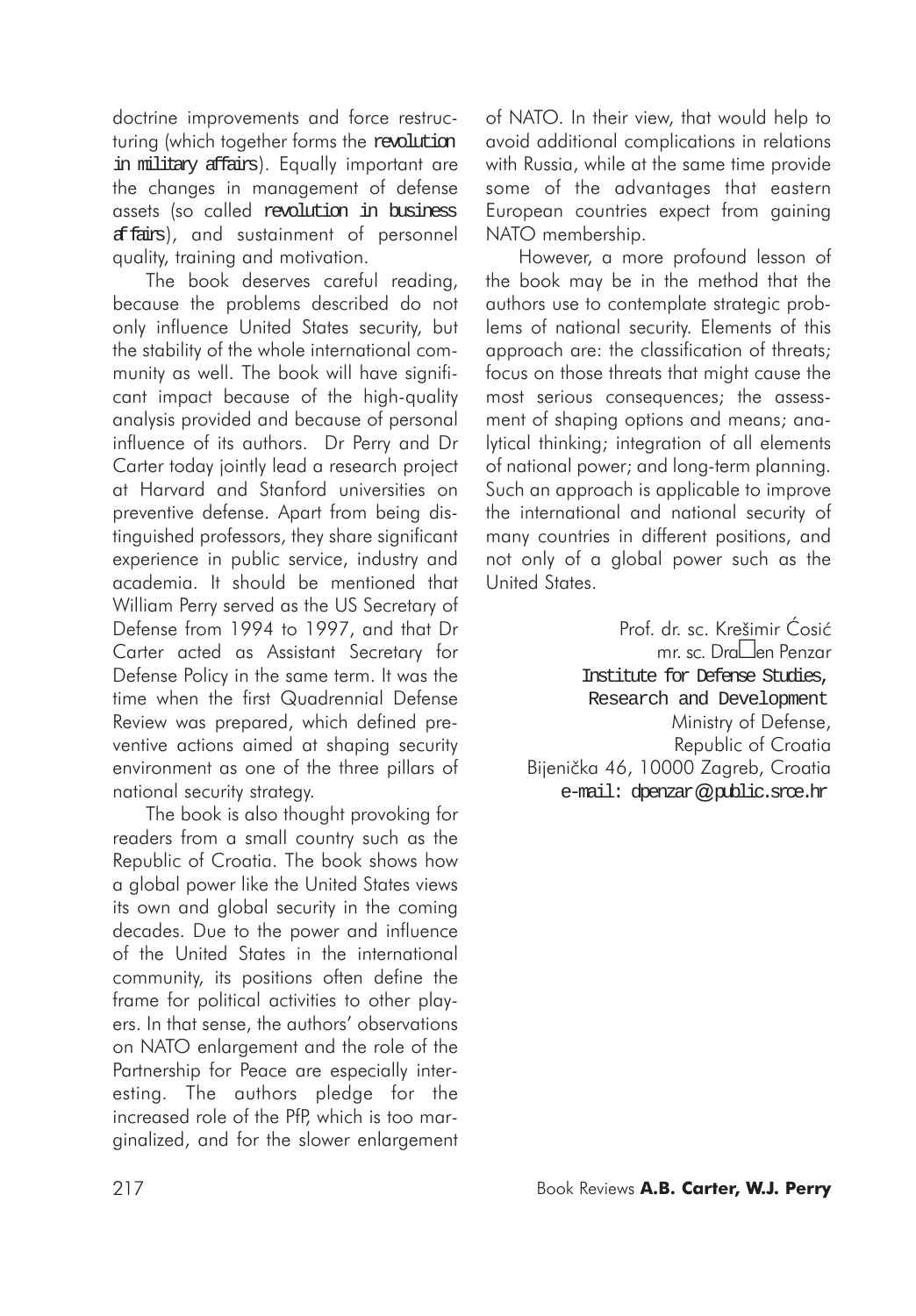doctrine improvements and force restructuring (which together forms the revolution in military affairs). Equally important are the changes in management of defense assets (so called revolution in business affairs), and sustainment of personnel quality, training and motivation.

The book deserves careful reading, because the problems described do not only influence United States security, but the stability of the whole international community as well. The book will have significant impact because of the high-quality analysis provided and because of personal influence of its authors. Dr Perry and Dr Carter today jointly lead a research project at Harvard and Stanford universities on preventive defense. Apart from being distinguished professors, they share significant experience in public service, industry and academia. It should be mentioned that William Perry served as the US Secretary of Defense from 1994 to 1997, and that Dr Carter acted as Assistant Secretary for Defense Policy in the same term. It was the time when the first Quadrennial Defense Review was prepared, which defined preventive actions aimed at shaping security environment as one of the three pillars of national security strategy.

The book is also thought provoking for readers from a small country such as the Republic of Croatia. The book shows how a global power like the United States views its own and global security in the coming decades. Due to the power and influence of the United States in the international community, its positions often define the frame for political activities to other players. In that sense, the authors' observations on NATO enlargement and the role of the Partnership for Peace are especially interesting. The authors pledge for the increased role of the PfP, which is too marginalized, and for the slower enlargement

of NATO. In their view, that would help to avoid additional complications in relations with Russia, while at the same time provide some of the advantages that eastern European countries expect from gaining NATO membership.

However, a more profound lesson of the book may be in the method that the authors use to contemplate strategic problems of national security. Elements of this approach are: the classification of threats; focus on those threats that might cause the most serious consequences; the assessment of shaping options and means; analytical thinking; integration of all elements of national power; and long-term planning. Such an approach is applicable to improve the international and national security of many countries in different positions, and not only of a global power such as the United States.

> Prof. dr. sc. Krešimir Ćosić mr. sc. Dra□en Penzar Institute for Defense Studies, Research and Development Ministry of Defense, Republic of Croatia Bijenička 46, 10000 Zagreb, Croatia e-mail: dpenzar*@*public.srce.hr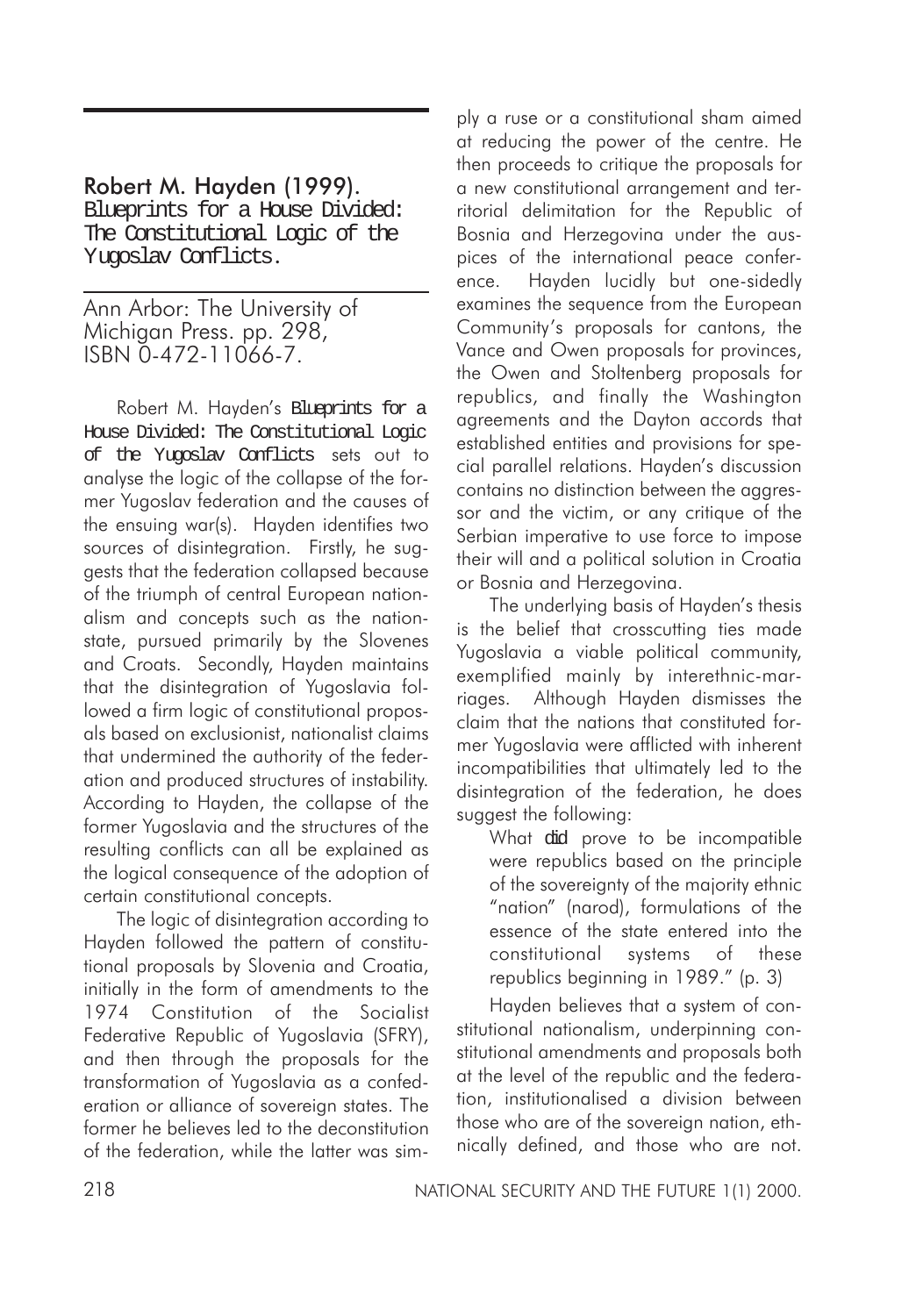## Robert M. Hayden (1999).

Blueprints for a House Divided: The Constitutional Logic of the Yugoslav Conflicts.

Ann Arbor: The University of Michigan Press. pp. 298, ISBN 0-472-11066-7.

Robert M. Hayden's Blueprints for a House Divided: The Constitutional Logic of the Yugoslav Conflicts sets out to analyse the logic of the collapse of the former Yugoslav federation and the causes of the ensuing war(s). Hayden identifies two sources of disintegration. Firstly, he suggests that the federation collapsed because of the triumph of central European nationalism and concepts such as the nationstate, pursued primarily by the Slovenes and Croats. Secondly, Hayden maintains that the disintegration of Yugoslavia followed a firm logic of constitutional proposals based on exclusionist, nationalist claims that undermined the authority of the federation and produced structures of instability. According to Hayden, the collapse of the former Yugoslavia and the structures of the resulting conflicts can all be explained as the logical consequence of the adoption of certain constitutional concepts.

The logic of disintegration according to Hayden followed the pattern of constitutional proposals by Slovenia and Croatia, initially in the form of amendments to the 1974 Constitution of the Socialist Federative Republic of Yugoslavia (SFRY), and then through the proposals for the transformation of Yugoslavia as a confederation or alliance of sovereign states. The former he believes led to the deconstitution of the federation, while the latter was simply a ruse or a constitutional sham aimed at reducing the power of the centre. He then proceeds to critique the proposals for a new constitutional arrangement and territorial delimitation for the Republic of Bosnia and Herzegovina under the auspices of the international peace conference. Hayden lucidly but one-sidedly examines the sequence from the European Community's proposals for cantons, the Vance and Owen proposals for provinces, the Owen and Stoltenberg proposals for republics, and finally the Washington agreements and the Dayton accords that established entities and provisions for special parallel relations. Hayden's discussion contains no distinction between the aggressor and the victim, or any critique of the Serbian imperative to use force to impose their will and a political solution in Croatia or Bosnia and Herzegovina.

The underlying basis of Hayden's thesis is the belief that crosscutting ties made Yugoslavia a viable political community, exemplified mainly by interethnic-marriages. Although Hayden dismisses the claim that the nations that constituted former Yugoslavia were afflicted with inherent incompatibilities that ultimately led to the disintegration of the federation, he does suggest the following:

What did prove to be incompatible were republics based on the principle of the sovereignty of the majority ethnic "nation" (narod), formulations of the essence of the state entered into the constitutional systems of these republics beginning in 1989." (p. 3)

Hayden believes that a system of constitutional nationalism, underpinning constitutional amendments and proposals both at the level of the republic and the federation, institutionalised a division between those who are of the sovereign nation, ethnically defined, and those who are not.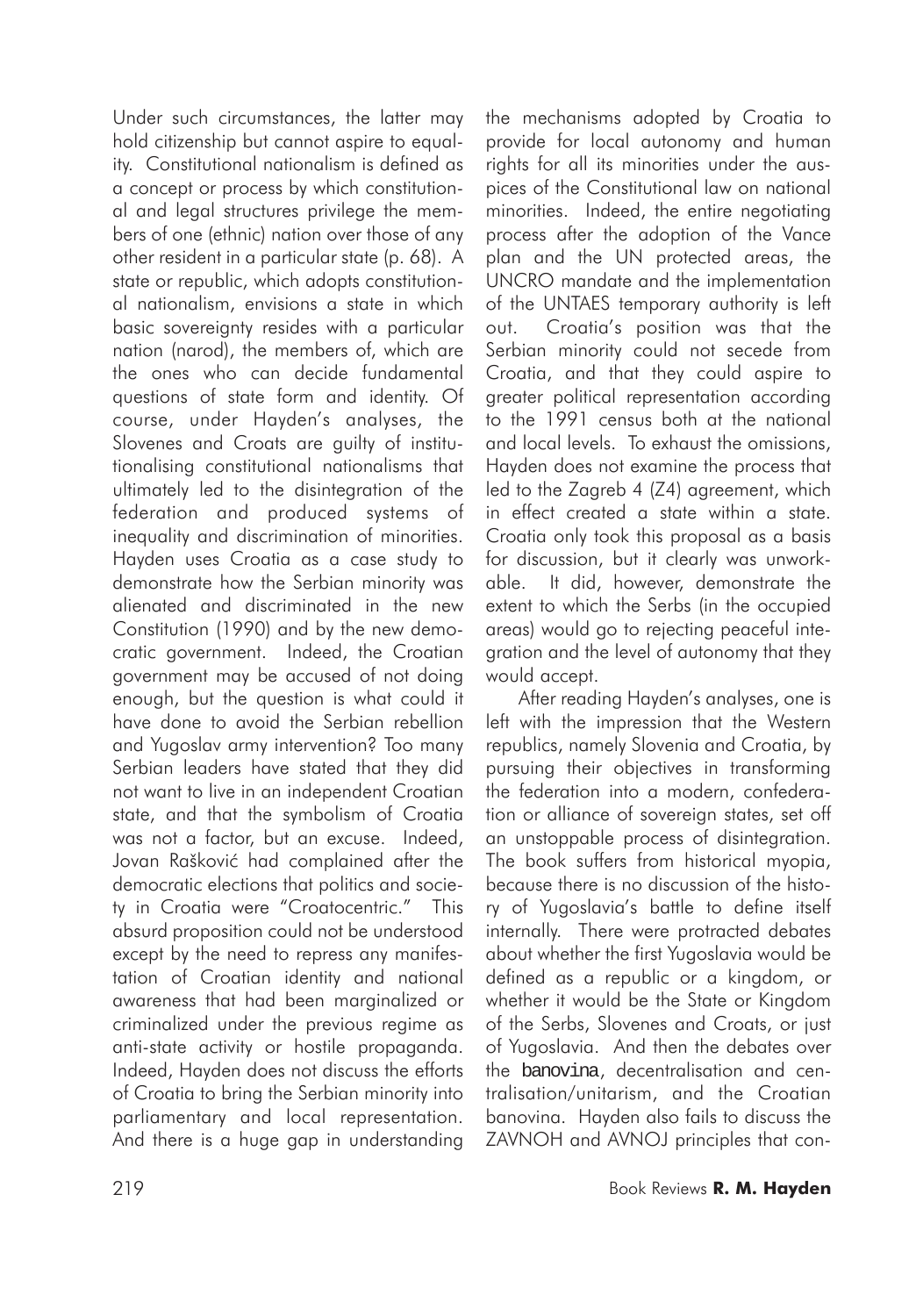Under such circumstances, the latter may hold citizenship but cannot aspire to equality. Constitutional nationalism is defined as a concept or process by which constitutional and legal structures privilege the members of one (ethnic) nation over those of any other resident in a particular state (p. 68). A state or republic, which adopts constitutional nationalism, envisions a state in which basic sovereignty resides with a particular nation (narod), the members of, which are the ones who can decide fundamental questions of state form and identity. Of course, under Hayden's analyses, the Slovenes and Croats are guilty of institutionalising constitutional nationalisms that ultimately led to the disintegration of the federation and produced systems of inequality and discrimination of minorities. Hayden uses Croatia as a case study to demonstrate how the Serbian minority was alienated and discriminated in the new Constitution (1990) and by the new democratic government. Indeed, the Croatian government may be accused of not doing enough, but the question is what could it have done to avoid the Serbian rebellion and Yugoslav army intervention? Too many Serbian leaders have stated that they did not want to live in an independent Croatian state, and that the symbolism of Croatia was not a factor, but an excuse. Indeed, Jovan Rašković had complained after the democratic elections that politics and society in Croatia were "Croatocentric." This absurd proposition could not be understood except by the need to repress any manifestation of Croatian identity and national awareness that had been marginalized or criminalized under the previous regime as anti-state activity or hostile propaganda. Indeed, Hayden does not discuss the efforts of Croatia to bring the Serbian minority into parliamentary and local representation. And there is a huge gap in understanding

the mechanisms adopted by Croatia to provide for local autonomy and human rights for all its minorities under the auspices of the Constitutional law on national minorities. Indeed, the entire negotiating process after the adoption of the Vance plan and the UN protected areas, the UNCRO mandate and the implementation of the UNTAES temporary authority is left out. Croatia's position was that the Serbian minority could not secede from Croatia, and that they could aspire to greater political representation according to the 1991 census both at the national and local levels. To exhaust the omissions, Hayden does not examine the process that led to the Zagreb 4 (Z4) agreement, which in effect created a state within a state. Croatia only took this proposal as a basis for discussion, but it clearly was unworkable. It did, however, demonstrate the extent to which the Serbs (in the occupied areas) would go to rejecting peaceful integration and the level of autonomy that they would accept.

After reading Hayden's analyses, one is left with the impression that the Western republics, namely Slovenia and Croatia, by pursuing their objectives in transforming the federation into a modern, confederation or alliance of sovereian states, set off an unstoppable process of disintegration. The book suffers from historical myopia, because there is no discussion of the history of Yugoslavia's battle to define itself internally. There were protracted debates about whether the first Yugoslavia would be defined as a republic or a kingdom, or whether it would be the State or Kingdom of the Serbs, Slovenes and Croats, or just of Yugoslavia. And then the debates over the banovina, decentralisation and centralisation/unitarism, and the Croatian banovina. Hayden also fails to discuss the ZAVNOH and AVNOJ principles that con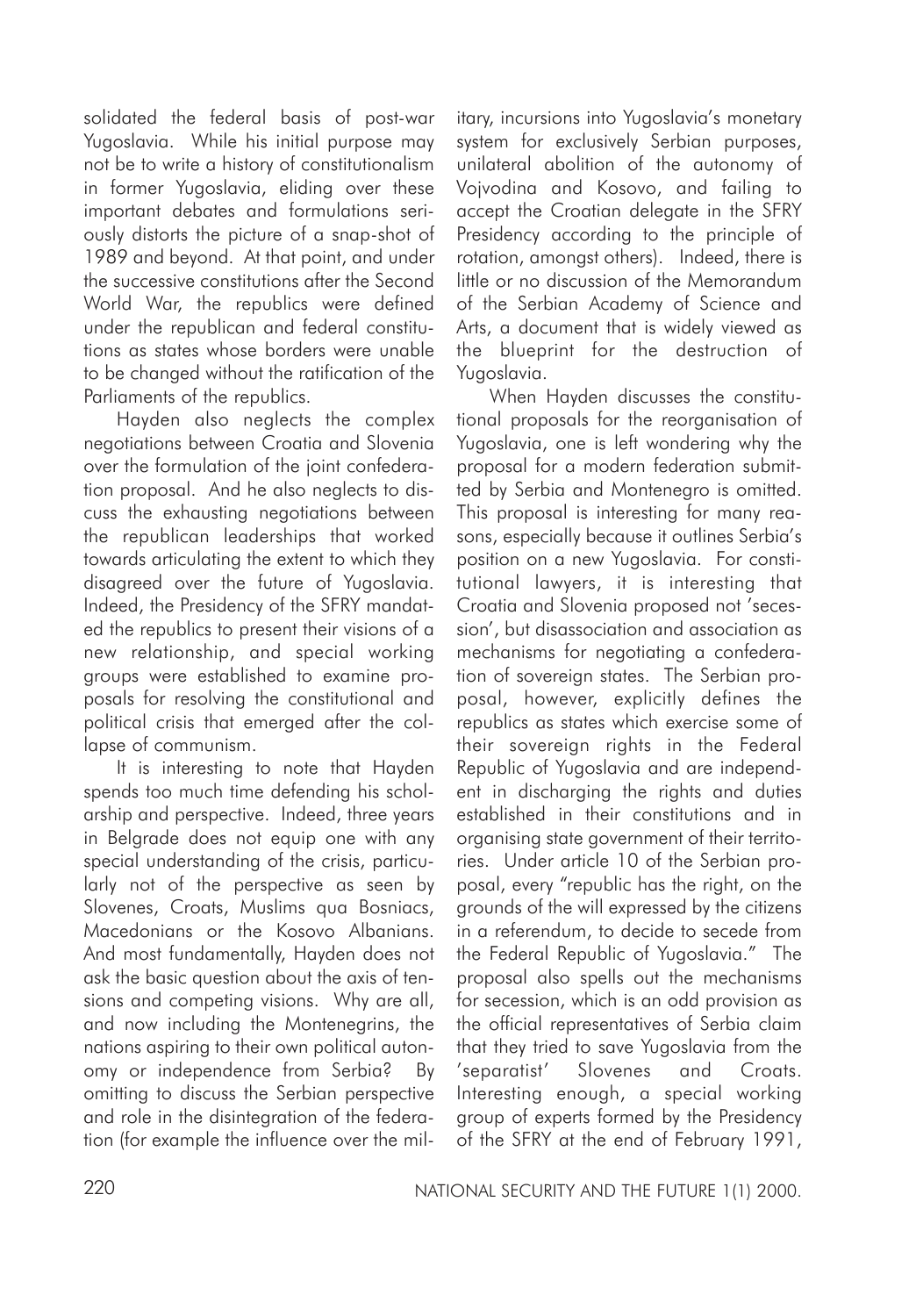solidated the federal basis of post-war Yugoslavia. While his initial purpose may not be to write a history of constitutionalism in former Yugoslavia, eliding over these important debates and formulations seriously distorts the picture of a snap-shot of 1989 and beyond. At that point, and under the successive constitutions after the Second World War, the republics were defined under the republican and federal constitutions as states whose borders were unable to be changed without the ratification of the Parliaments of the republics.

Hayden also neglects the complex negotiations between Croatia and Slovenia over the formulation of the joint confederation proposal. And he also neglects to discuss the exhausting negotiations between the republican leaderships that worked towards articulating the extent to which they disagreed over the future of Yugoslavia. Indeed, the Presidency of the SFRY mandated the republics to present their visions of a new relationship, and special working groups were established to examine proposals for resolving the constitutional and political crisis that emerged after the collapse of communism.

It is interesting to note that Hayden spends too much time defending his scholarship and perspective. Indeed, three years in Belgrade does not equip one with any special understanding of the crisis, particularly not of the perspective as seen by Slovenes, Croats, Muslims qua Bosniacs, Macedonians or the Kosovo Albanians. And most fundamentally, Hayden does not ask the basic question about the axis of tensions and competing visions. Why are all, and now including the Montenegrins, the nations aspiring to their own political autonomy or independence from Serbia? By omitting to discuss the Serbian perspective and role in the disintegration of the federation (for example the influence over the mil-

itary, incursions into Yugoslavia's monetary system for exclusively Serbian purposes, unilateral abolition of the autonomy of Vojvodina and Kosovo, and failing to accept the Croatian delegate in the SFRY Presidency according to the principle of rotation, amongst others). Indeed, there is little or no discussion of the Memorandum of the Serbian Academy of Science and Arts, a document that is widely viewed as the blueprint for the destruction of Yugoslavia.

When Hayden discusses the constitutional proposals for the reorganisation of Yugoslavia, one is left wondering why the proposal for a modern federation submitted by Serbia and Montenegro is omitted. This proposal is interesting for many reasons, especially because it outlines Serbia's position on a new Yugoslavia. For constitutional lawyers, it is interesting that Croatia and Slovenia proposed not 'secession', but disassociation and association as mechanisms for negotiating a confederation of sovereign states. The Serbian proposal, however, explicitly defines the republics as states which exercise some of their sovereign rights in the Federal Republic of Yugoslavia and are independent in discharging the rights and duties established in their constitutions and in organising state government of their territories. Under article 10 of the Serbian proposal, every "republic has the right, on the grounds of the will expressed by the citizens in a referendum, to decide to secede from the Federal Republic of Yugoslavia." The proposal also spells out the mechanisms for secession, which is an odd provision as the official representatives of Serbia claim that they tried to save Yugoslavia from the 'separatist' Slovenes and Croats. Interesting enough, a special working group of experts formed by the Presidency of the SFRY at the end of February 1991,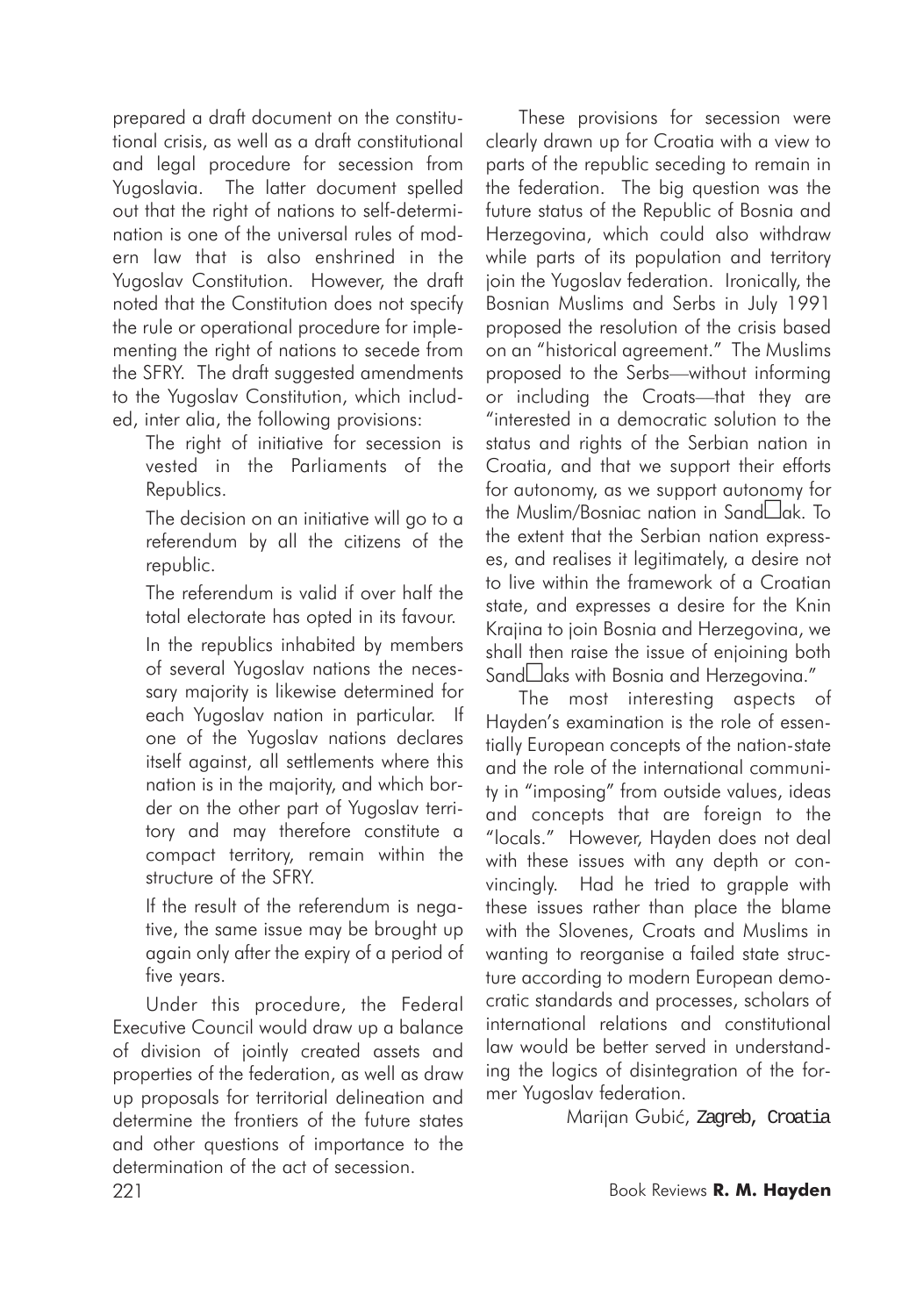prepared a draft document on the constitutional crisis, as well as a draft constitutional and legal procedure for secession from Yugoslavia. The latter document spelled out that the right of nations to self-determination is one of the universal rules of modern law that is also enshrined in the Yugoslav Constitution. However, the draft noted that the Constitution does not specify the rule or operational procedure for implementing the right of nations to secede from the SFRY. The draft suggested amendments to the Yugoslav Constitution, which included, inter alia, the following provisions:

The right of initiative for secession is vested in the Parliaments of the Republics.

The decision on an initiative will go to a referendum by all the citizens of the republic.

The referendum is valid if over half the total electorate has opted in its favour.

In the republics inhabited by members of several Yugoslav nations the necessary majority is likewise determined for each Yugoslav nation in particular. If one of the Yugoslav nations declares itself against, all settlements where this nation is in the majority, and which border on the other part of Yugoslav territory and may therefore constitute a compact territory, remain within the structure of the SFRY.

If the result of the referendum is negative, the same issue may be brought up again only after the expiry of a period of five years.

Under this procedure, the Federal Executive Council would draw up a balance of division of jointly created assets and properties of the federation, as well as draw up proposals for territorial delineation and determine the frontiers of the future states and other questions of importance to the determination of the act of secession.

These provisions for secession were clearly drawn up for Croatia with a view to parts of the republic seceding to remain in the federation. The big question was the future status of the Republic of Bosnia and Herzegovina, which could also withdraw while parts of its population and territory join the Yugoslav federation. Ironically, the Bosnian Muslims and Serbs in July 1991 proposed the resolution of the crisis based on an "historical agreement." The Muslims proposed to the Serbs—without informing or including the Croats—that they are "interested in a democratic solution to the status and rights of the Serbian nation in Croatia, and that we support their efforts for autonomy, as we support autonomy for the Muslim/Bosniac nation in Sand $\square$ ak. To the extent that the Serbian nation expresses, and realises it legitimately, a desire not to live within the framework of a Croatian state, and expresses a desire for the Knin Krajina to join Bosnia and Herzegovina, we shall then raise the issue of enjoining both Sand aks with Bosnia and Herzegovina."

The most interesting aspects of Hayden's examination is the role of essentially European concepts of the nation-state and the role of the international community in "imposing" from outside values, ideas and concepts that are foreign to the "locals." However, Hayden does not deal with these issues with any depth or convincingly. Had he tried to grapple with these issues rather than place the blame with the Slovenes, Croats and Muslims in wanting to reorganise a failed state structure according to modern European democratic standards and processes, scholars of international relations and constitutional law would be better served in understanding the logics of disintegration of the former Yugoslav federation.

Marijan Gubić, Zagreb, Croatia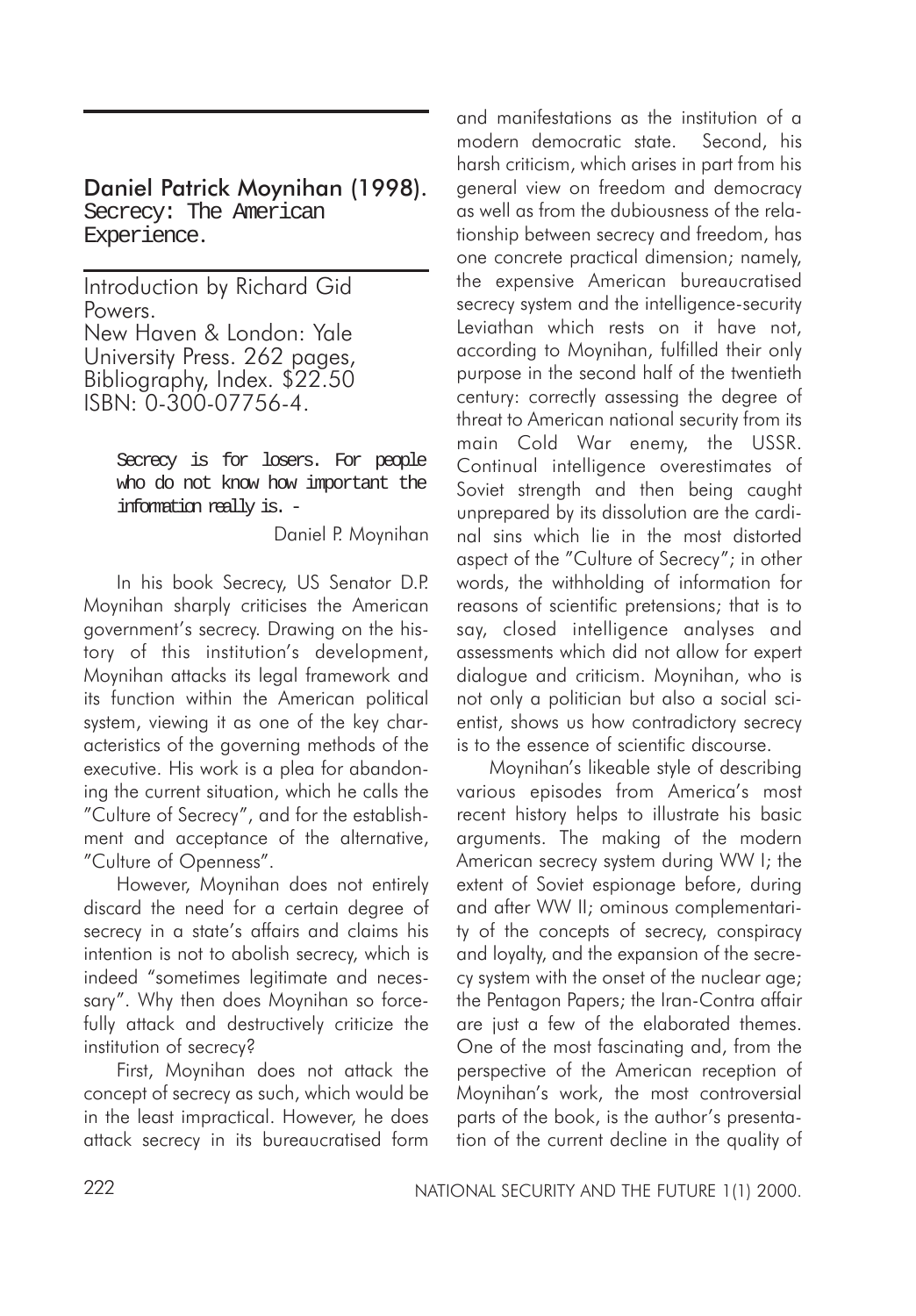# Daniel Patrick Moynihan (1998).

Secrecy: The American Experience.

Introduction by Richard Gid Powers. New Haven & London: Yale University Press. 262 pages, Bibliography, Index. \$22.50 ISBN: 0-300-07756-4.

> Secrecy is for losers. For people who do not know how important the information really is. -

> > Daniel P. Moynihan

In his book Secrecy, US Senator D.P. Moynihan sharply criticises the American government's secrecy. Drawing on the history of this institution's development, Moynihan attacks its legal framework and its function within the American political system, viewing it as one of the key characteristics of the governing methods of the executive. His work is a plea for abandoning the current situation, which he calls the "Culture of Secrecy", and for the establishment and acceptance of the alternative, "Culture of Openness".

However, Moynihan does not entirely discard the need for a certain degree of secrecy in a state's affairs and claims his intention is not to abolish secrecy, which is indeed "sometimes legitimate and necessary". Why then does Moynihan so forcefully attack and destructively criticize the institution of secrecy?

First, Moynihan does not attack the concept of secrecy as such, which would be in the least impractical. However, he does attack secrecy in its bureaucratised form

and manifestations as the institution of a modern democratic state. Second, his harsh criticism, which arises in part from his general view on freedom and democracy as well as from the dubiousness of the relationship between secrecy and freedom, has one concrete practical dimension; namely, the expensive American bureaucratised secrecy system and the intelligence-security Leviathan which rests on it have not, according to Moynihan, fulfilled their only purpose in the second half of the twentieth century: correctly assessing the degree of threat to American national security from its main Cold War enemy, the USSR. Continual intelligence overestimates of Soviet strength and then being caught unprepared by its dissolution are the cardinal sins which lie in the most distorted aspect of the "Culture of Secrecy"; in other words, the withholding of information for reasons of scientific pretensions; that is to say, closed intelligence analyses and assessments which did not allow for expert dialogue and criticism. Moynihan, who is not only a politician but also a social scientist, shows us how contradictory secrecy is to the essence of scientific discourse.

Moynihan's likeable style of describing various episodes from America's most recent history helps to illustrate his basic arguments. The making of the modern American secrecy system during WW I; the extent of Soviet espionage before, during and after WW II; ominous complementarity of the concepts of secrecy, conspiracy and loyalty, and the expansion of the secrecy system with the onset of the nuclear age; the Pentagon Papers; the Iran-Contra affair are just a few of the elaborated themes. One of the most fascinating and, from the perspective of the American reception of Moynihan's work, the most controversial parts of the book, is the author's presentation of the current decline in the quality of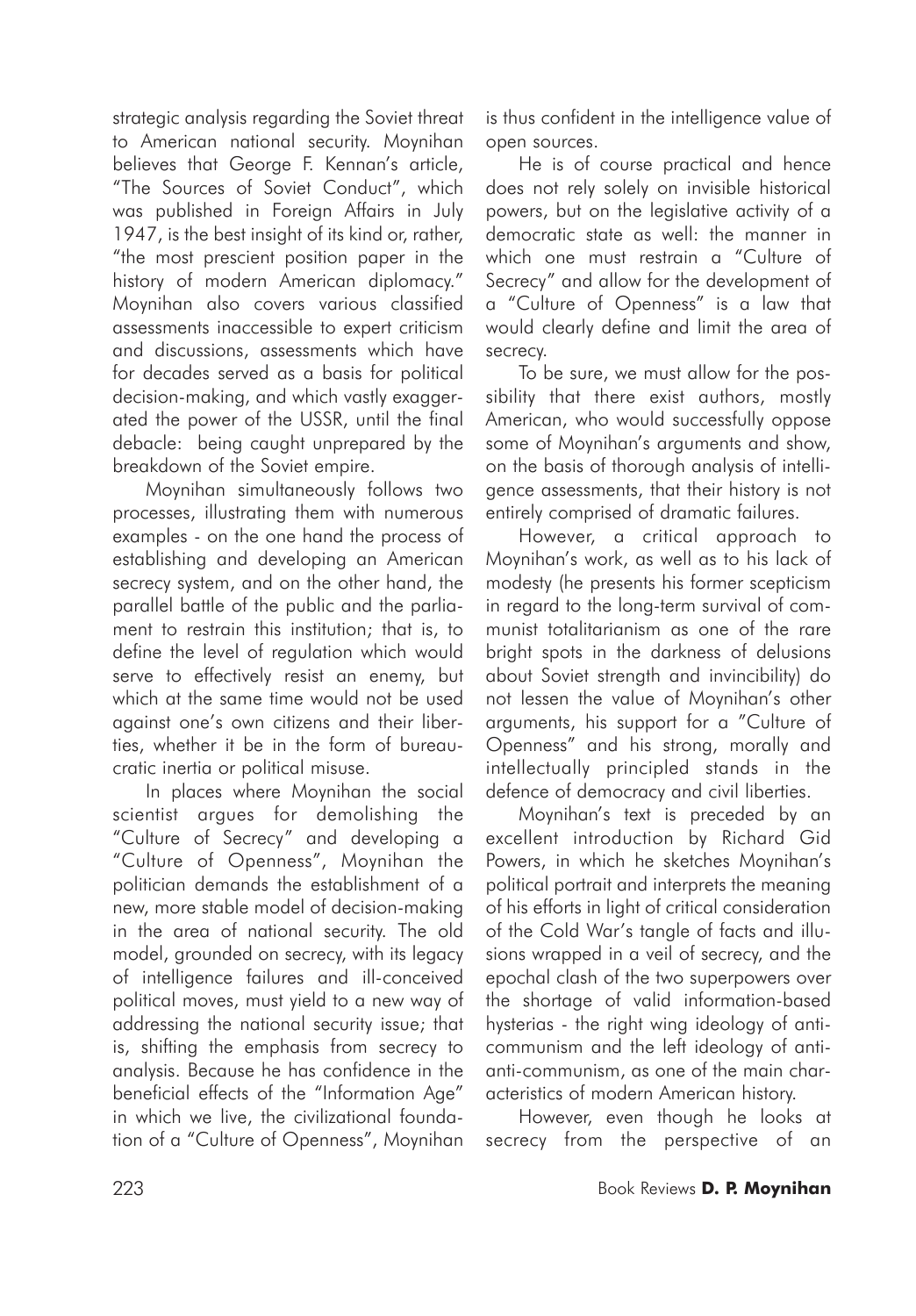strategic analysis regarding the Soviet threat to American national security. Moynihan believes that George F. Kennan's article, "The Sources of Soviet Conduct", which was published in Foreign Affairs in July 1947, is the best insight of its kind or, rather, "the most prescient position paper in the history of modern American diplomacy." Moynihan also covers various classified assessments inaccessible to expert criticism and discussions, assessments which have for decades served as a basis for political decision-making, and which vastly exaggerated the power of the USSR, until the final debacle: being caught unprepared by the breakdown of the Soviet empire.

Moynihan simultaneously follows two processes, illustrating them with numerous examples - on the one hand the process of establishing and developing an American secrecy system, and on the other hand, the parallel battle of the public and the parliament to restrain this institution; that is, to define the level of regulation which would serve to effectively resist an enemy, but which at the same time would not be used against one's own citizens and their liberties, whether it be in the form of bureaucratic inertia or political misuse.

In places where Moynihan the social scientist argues for demolishing the "Culture of Secrecy" and developing a "Culture of Openness", Moynihan the politician demands the establishment of a new, more stable model of decision-making in the area of national security. The old model, grounded on secrecy, with its legacy of intelligence failures and ill-conceived political moves, must yield to a new way of addressing the national security issue; that is, shifting the emphasis from secrecy to analysis. Because he has confidence in the beneficial effects of the "Information Age" in which we live, the civilizational foundation of a "Culture of Openness", Moynihan is thus confident in the intelligence value of open sources.

He is of course practical and hence does not rely solely on invisible historical powers, but on the legislative activity of a democratic state as well: the manner in which one must restrain a "Culture of Secrecy" and allow for the development of a "Culture of Openness" is a law that would clearly define and limit the area of secrecy.

To be sure, we must allow for the possibility that there exist authors, mostly American, who would successfully oppose some of Moynihan's arguments and show, on the basis of thorough analysis of intelligence assessments, that their history is not entirely comprised of dramatic failures.

However, a critical approach to Moynihan's work, as well as to his lack of modesty (he presents his former scepticism in regard to the long-term survival of communist totalitarianism as one of the rare bright spots in the darkness of delusions about Soviet strength and invincibility) do not lessen the value of Moynihan's other arguments, his support for a "Culture of Openness" and his strong, morally and intellectually principled stands in the defence of democracy and civil liberties.

Moynihan's text is preceded by an excellent introduction by Richard Gid Powers, in which he sketches Moynihan's political portrait and interprets the meaning of his efforts in light of critical consideration of the Cold War's tangle of facts and illusions wrapped in a veil of secrecy, and the epochal clash of the two superpowers over the shortage of valid information-based hysterias - the right wing ideology of anticommunism and the left ideology of antianti-communism, as one of the main characteristics of modern American history.

However, even though he looks at secrecy from the perspective of an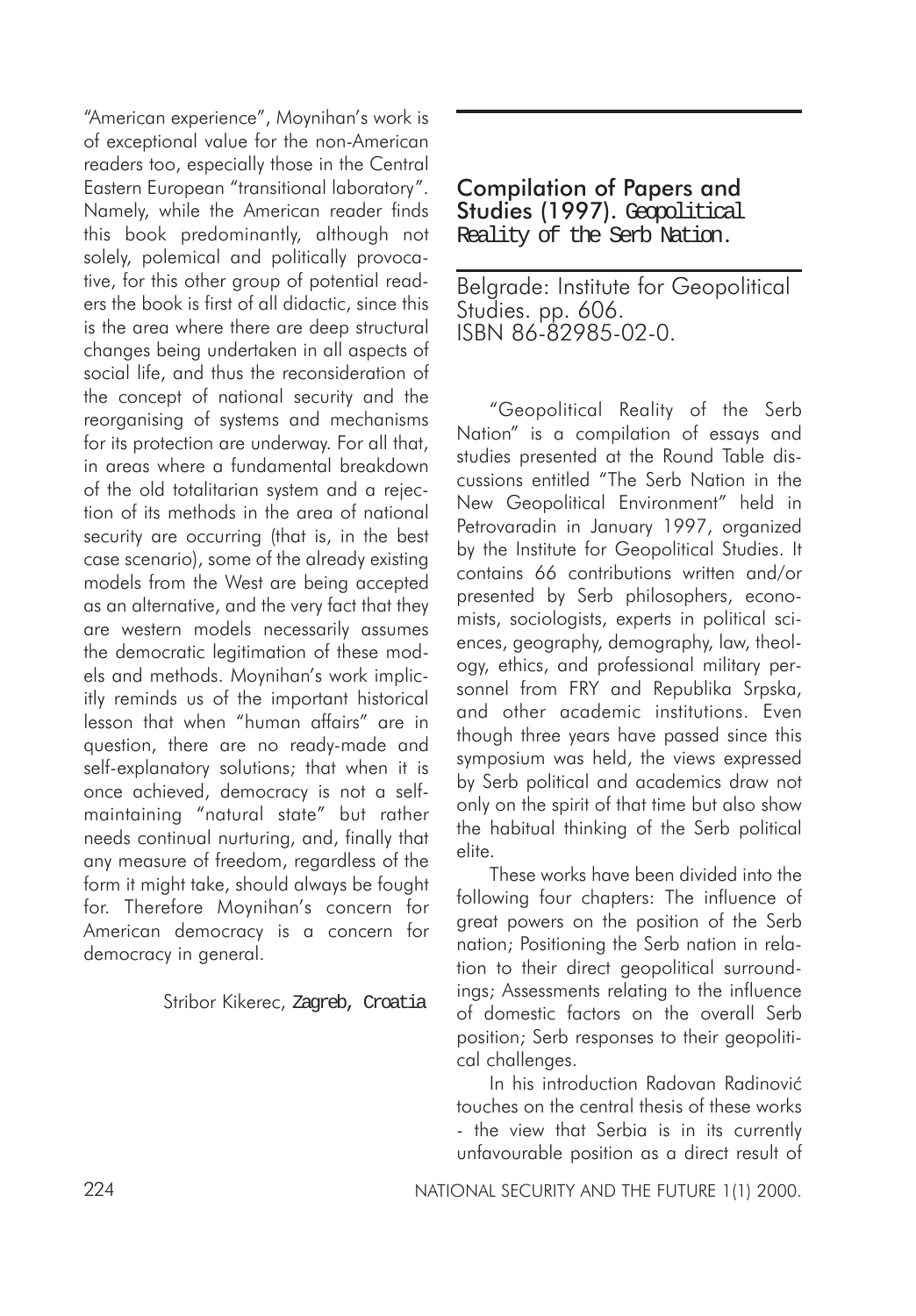"American experience", Moynihan's work is of exceptional value for the non-American readers too, especially those in the Central Eastern European "transitional laboratory". Namely, while the American reader finds this book predominantly, although not solely, polemical and politically provocative, for this other group of potential readers the book is first of all didactic, since this is the area where there are deep structural changes being undertaken in all aspects of social life, and thus the reconsideration of the concept of national security and the reorganising of systems and mechanisms for its protection are underway. For all that, in areas where a fundamental breakdown of the old totalitarian system and a rejection of its methods in the area of national security are occurring (that is, in the best case scenario), some of the already existing models from the West are being accepted as an alternative, and the very fact that they are western models necessarily assumes the democratic legitimation of these models and methods. Moynihan's work implicitly reminds us of the important historical lesson that when "human affairs" are in question, there are no ready-made and self-explanatory solutions; that when it is once achieved, democracy is not a selfmaintaining "natural state" but rather needs continual nurturing, and, finally that any measure of freedom, regardless of the form it might take, should always be fought for. Therefore Moynihan's concern for American democracy is a concern for democracy in general.

Stribor Kikerec, Zagreb, Croatia

## Compilation of Papers and Studies (1997). Geopolitical Reality of the Serb Nation.

Belgrade: Institute for Geopolitical Studies. pp. 606. ISBN 86-82985-02-0.

"Geopolitical Reality of the Serb Nation" is a compilation of essays and studies presented at the Round Table discussions entitled "The Serb Nation in the New Geopolitical Environment" held in Petrovaradin in January 1997, organized by the Institute for Geopolitical Studies. It contains 66 contributions written and/or presented by Serb philosophers, economists, sociologists, experts in political sciences, geography, demography, law, theology, ethics, and professional military personnel from FRY and Republika Srpska, and other academic institutions. Even though three years have passed since this symposium was held, the views expressed by Serb political and academics draw not only on the spirit of that time but also show the habitual thinking of the Serb political elite.

These works have been divided into the following four chapters: The influence of great powers on the position of the Serb nation; Positioning the Serb nation in relation to their direct geopolitical surroundings; Assessments relating to the influence of domestic factors on the overall Serb position; Serb responses to their geopolitical challenges.

In his introduction Radovan Radinović touches on the central thesis of these works - the view that Serbia is in its currently unfavourable position as a direct result of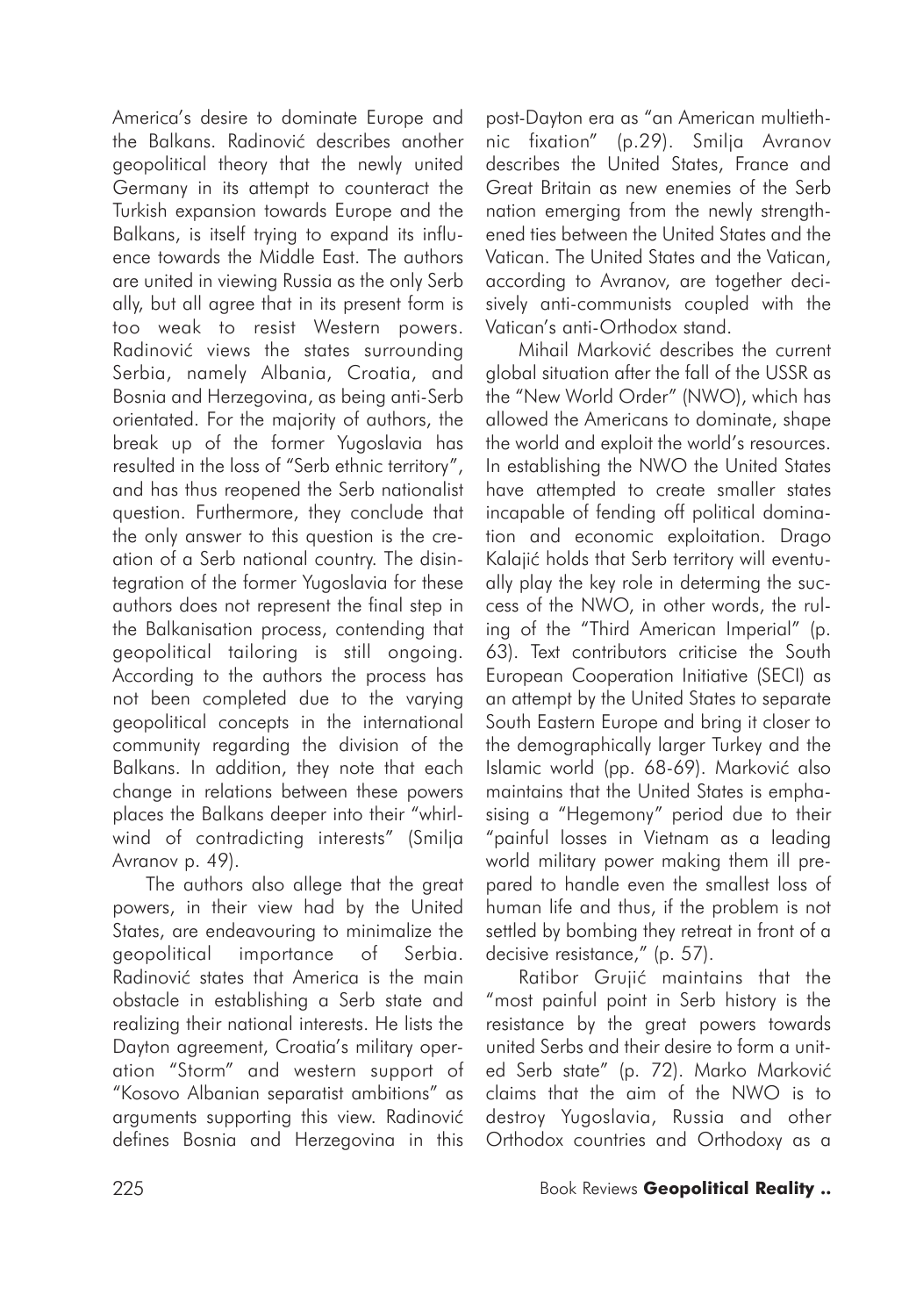America's desire to dominate Europe and the Balkans. Radinović describes another geopolitical theory that the newly united Germany in its attempt to counteract the Turkish expansion towards Europe and the Balkans, is itself trying to expand its influence towards the Middle East. The authors are united in viewing Russia as the only Serb ally, but all agree that in its present form is too weak to resist Western powers. Radinović views the states surrounding Serbia, namely Albania, Croatia, and Bosnia and Herzegovina, as being anti-Serb orientated. For the majority of authors, the break up of the former Yugoslavia has resulted in the loss of "Serb ethnic territory", and has thus reopened the Serb nationalist question. Furthermore, they conclude that the only answer to this question is the creation of a Serb national country. The disintegration of the former Yugoslavia for these authors does not represent the final step in the Balkanisation process, contending that geopolitical tailoring is still ongoing. According to the authors the process has not been completed due to the varying geopolitical concepts in the international community regarding the division of the Balkans. In addition, they note that each change in relations between these powers places the Balkans deeper into their "whirlwind of contradicting interests" (Smilja Avranov p. 49).

The authors also allege that the great powers, in their view had by the United States, are endeavouring to minimalize the geopolitical importance of Serbia. Radinović states that America is the main obstacle in establishing a Serb state and realizing their national interests. He lists the Dayton agreement, Croatia's military operation "Storm" and western support of "Kosovo Albanian separatist ambitions" as arguments supporting this view. Radinović defines Bosnia and Herzegovina in this

post-Dayton era as "an American multiethnic fixation" (p.29). Smilja Avranov describes the United States, France and Great Britain as new enemies of the Serb nation emerging from the newly strengthened ties between the United States and the Vatican. The United States and the Vatican, according to Avranov, are together decisively anti-communists coupled with the Vatican's anti-Orthodox stand.

Mihail Marković describes the current global situation after the fall of the USSR as the "New World Order" (NWO), which has allowed the Americans to dominate, shape the world and exploit the world's resources. In establishing the NWO the United States have attempted to create smaller states incapable of fending off political domination and economic exploitation. Drago Kalajić holds that Serb territory will eventually play the key role in determing the success of the NWO, in other words, the ruling of the "Third American Imperial" (p. 63). Text contributors criticise the South European Cooperation Initiative (SECI) as an attempt by the United States to separate South Eastern Europe and bring it closer to the demographically larger Turkey and the Islamic world (pp. 68-69). Marković also maintains that the United States is emphasising a "Hegemony" period due to their "painful losses in Vietnam as a leading world military power making them ill prepared to handle even the smallest loss of human life and thus, if the problem is not settled by bombing they retreat in front of a decisive resistance," (p. 57).

Ratibor Grujić maintains that the "most painful point in Serb history is the resistance by the great powers towards united Serbs and their desire to form a united Serb state" (p. 72). Marko Marković claims that the aim of the NWO is to destroy Yugoslavia, Russia and other Orthodox countries and Orthodoxy as a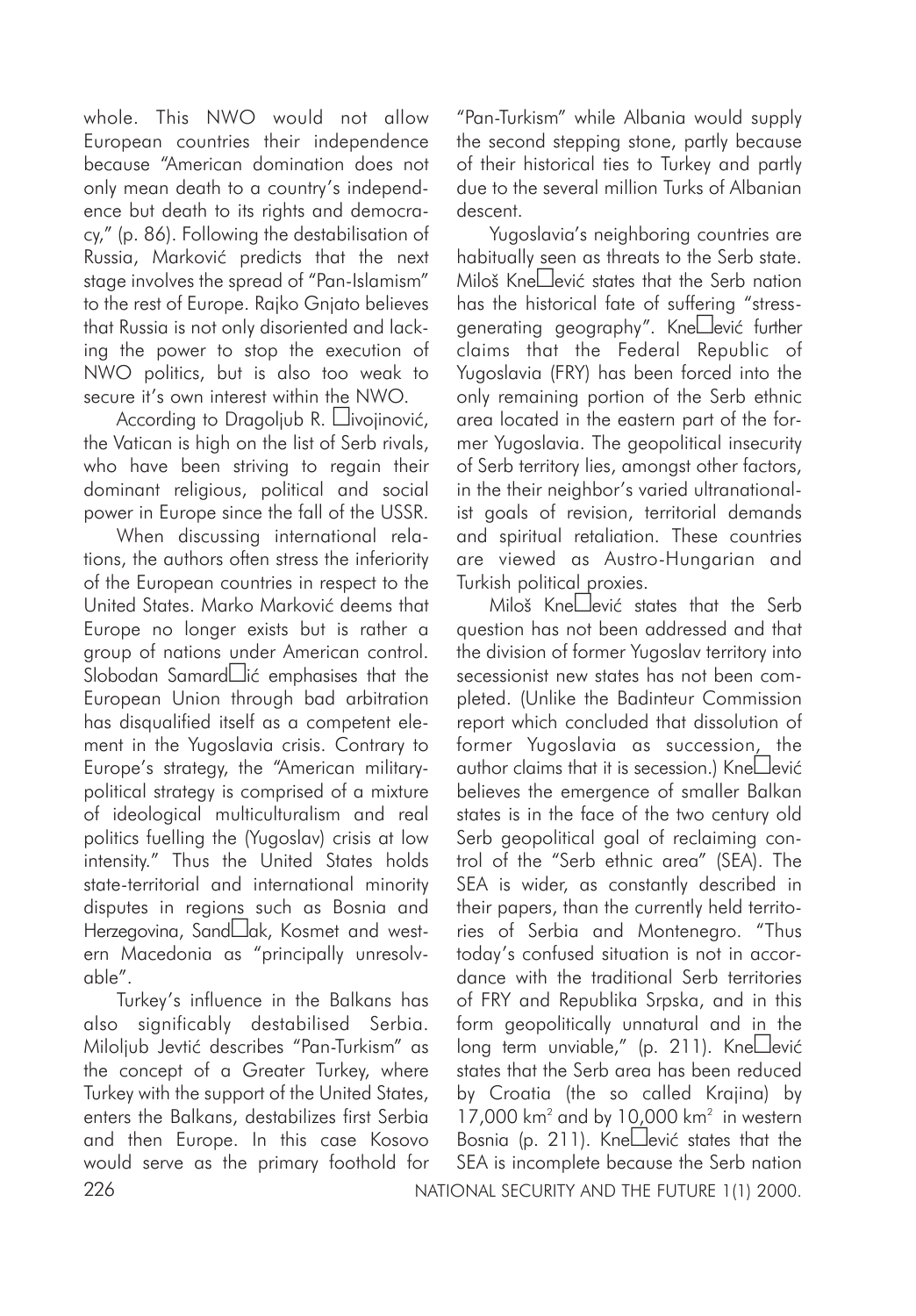whole. This NWO would not allow European countries their independence because "American domination does not only mean death to a country's independence but death to its rights and democracy," (p. 86). Following the destabilisation of Russia, Marković predicts that the next stage involves the spread of "Pan-Islamism" to the rest of Europe. Rajko Gnjato believes that Russia is not only disoriented and lacking the power to stop the execution of NWO politics, but is also too weak to secure it's own interest within the NWO.

According to Dragoljub R. Llivojinović, the Vatican is high on the list of Serb rivals, who have been striving to regain their dominant religious, political and social power in Europe since the fall of the USSR.

When discussing international relations, the authors often stress the inferiority of the European countries in respect to the United States. Marko Marković deems that Europe no longer exists but is rather a group of nations under American control.  $S$ lobodan Samard $\square$ ić emphasises that the European Union through bad arbitration has disqualified itself as a competent element in the Yugoslavia crisis. Contrary to Europe's strategy, the "American militarypolitical strategy is comprised of a mixture of ideological multiculturalism and real politics fuelling the (Yugoslav) crisis at low intensity." Thus the United States holds state-territorial and international minority disputes in regions such as Bosnia and Herzegovina, Sand<sub>ak</sub>, Kosmet and western Macedonia as "principally unresolvable".

226 NATIONAL SECURITY AND THE FUTURE 1(1) 2000. Turkey's influence in the Balkans has also significably destabilised Serbia. Miloljub Jevtiæ describes "Pan-Turkism" as the concept of a Greater Turkey, where Turkey with the support of the United States, enters the Balkans, destabilizes first Serbia and then Europe. In this case Kosovo would serve as the primary foothold for

"Pan-Turkism" while Albania would supply the second stepping stone, partly because of their historical ties to Turkey and partly due to the several million Turks of Albanian descent.

Yugoslavia's neighboring countries are habitually seen as threats to the Serb state. Miloš Kne $\Box$ ević states that the Serb nation has the historical fate of suffering "stressgenerating geography". Knellević further claims that the Federal Republic of Yugoslavia (FRY) has been forced into the only remaining portion of the Serb ethnic area located in the eastern part of the former Yugoslavia. The geopolitical insecurity of Serb territory lies, amongst other factors, in the their neighbor's varied ultranationalist goals of revision, territorial demands and spiritual retaliation. These countries are viewed as Austro-Hungarian and Turkish political proxies.

Miloš Kne $\square$ ević states that the Serb question has not been addressed and that the division of former Yugoslav territory into secessionist new states has not been completed. (Unlike the Badinteur Commission report which concluded that dissolution of former Yugoslavia as succession, the  $a$ uthor claims that it is secession.) Kne $\square$ ević believes the emergence of smaller Balkan states is in the face of the two century old Serb geopolitical goal of reclaiming control of the "Serb ethnic area" (SEA). The SEA is wider, as constantly described in their papers, than the currently held territories of Serbia and Montenegro. "Thus today's confused situation is not in accordance with the traditional Serb territories of FRY and Republika Srpska, and in this form geopolitically unnatural and in the  $long$  term unviable," (p. 211). Kne $\square$ ević states that the Serb area has been reduced by Croatia (the so called Krajina) by  $17,000$  km<sup>2</sup> and by  $10,000$  km<sup>2</sup> in western Bosnia (p. 211). Kne $\Box$ ević states that the SEA is incomplete because the Serb nation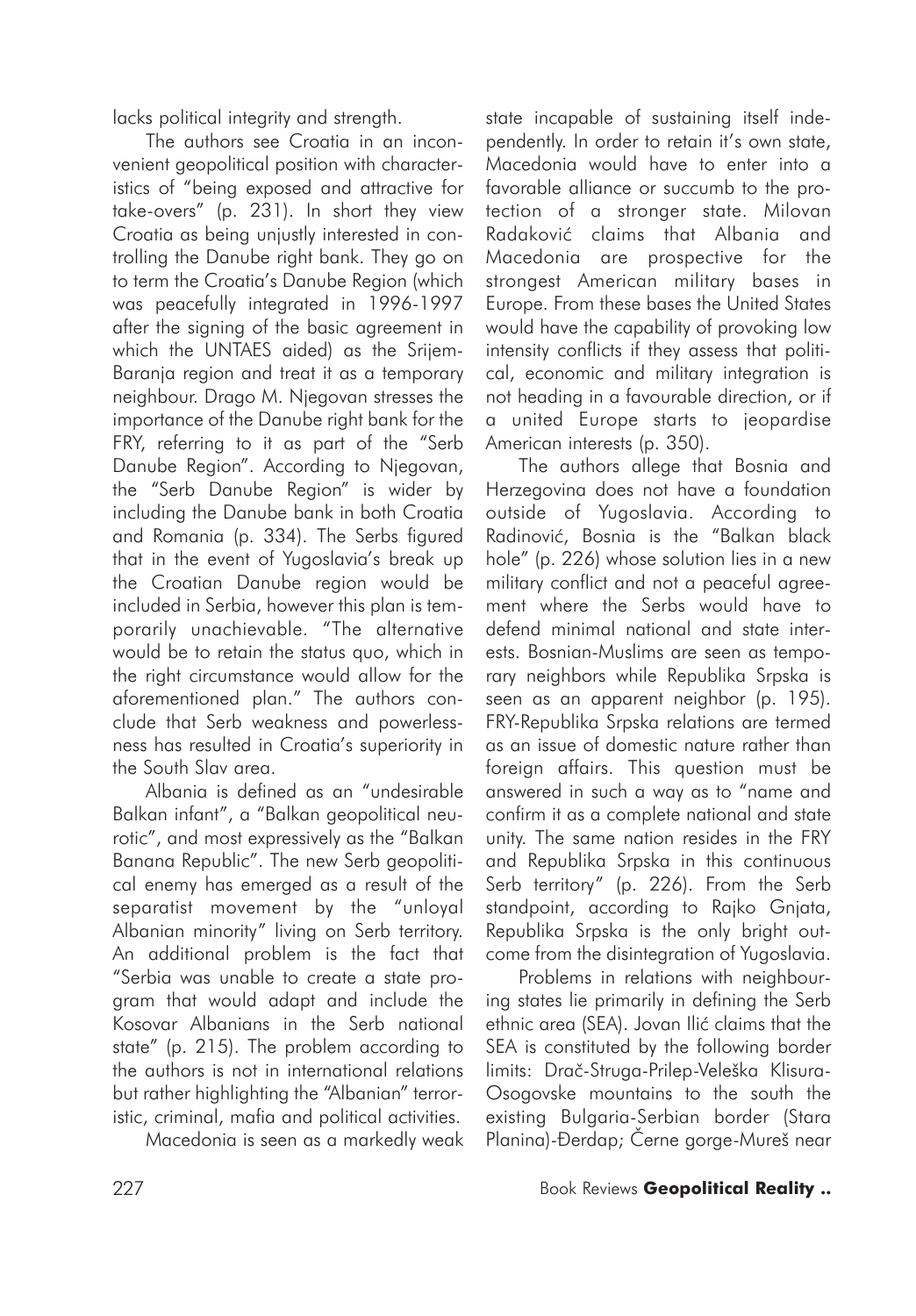lacks political integrity and strength.

The authors see Croatia in an inconvenient geopolitical position with characteristics of "being exposed and attractive for take-overs" (p. 231). In short they view Croatia as being unjustly interested in controlling the Danube right bank. They go on to term the Croatia's Danube Region (which was peacefully integrated in 1996-1997 after the signing of the basic agreement in which the UNTAES aided) as the Srijem-Baranja region and treat it as a temporary neighbour. Drago M. Njegovan stresses the importance of the Danube right bank for the FRY, referring to it as part of the "Serb Danube Region". According to Njegovan, the "Serb Danube Region" is wider by including the Danube bank in both Croatia and Romania (p. 334). The Serbs figured that in the event of Yugoslavia's break up the Croatian Danube region would be included in Serbia, however this plan is temporarily unachievable. "The alternative would be to retain the status quo, which in the right circumstance would allow for the aforementioned plan." The authors conclude that Serb weakness and powerlessness has resulted in Croatia's superiority in the South Slav area.

Albania is defined as an "undesirable Balkan infant", a "Balkan geopolitical neurotic", and most expressively as the "Balkan Banana Republic". The new Serb geopolitical enemy has emerged as a result of the separatist movement by the "unloyal Albanian minority" living on Serb territory. An additional problem is the fact that "Serbia was unable to create a state program that would adapt and include the Kosovar Albanians in the Serb national state" (p. 215). The problem according to the authors is not in international relations but rather highlighting the "Albanian" terroristic, criminal, mafia and political activities.

Macedonia is seen as a markedly weak

state incapable of sustaining itself independently. In order to retain it's own state, Macedonia would have to enter into a favorable alliance or succumb to the protection of a stronger state. Milovan Radaković claims that Albania and Macedonia are prospective for the strongest American military bases in Europe. From these bases the United States would have the capability of provoking low intensity conflicts if they assess that political, economic and military integration is not heading in a favourable direction, or if a united Europe starts to jeopardise American interests (p. 350).

The authors allege that Bosnia and Herzegovina does not have a foundation outside of Yugoslavia. According to Radinović, Bosnia is the "Balkan black hole" (p. 226) whose solution lies in a new military conflict and not a peaceful agreement where the Serbs would have to defend minimal national and state interests. Bosnian-Muslims are seen as temporary neighbors while Republika Srpska is seen as an apparent neighbor (p. 195). FRY-Republika Srpska relations are termed as an issue of domestic nature rather than foreign affairs. This question must be answered in such a way as to "name and confirm it as a complete national and state unity. The same nation resides in the FRY and Republika Srpska in this continuous Serb territory" (p. 226). From the Serb standpoint, according to Rajko Gnjata, Republika Srpska is the only bright outcome from the disintegration of Yugoslavia.

Problems in relations with neighbouring states lie primarily in defining the Serb ethnic area (SEA). Jovan Ilić claims that the SEA is constituted by the following border limits: Draè-Struga-Prilep-Veleška Klisura-Osogovske mountains to the south the existing Bulgaria-Serbian border (Stara Planina)-Ðerdap; Èerne gorge-Mureš near

## 227 Book Reviews **Geopolitical Reality ..**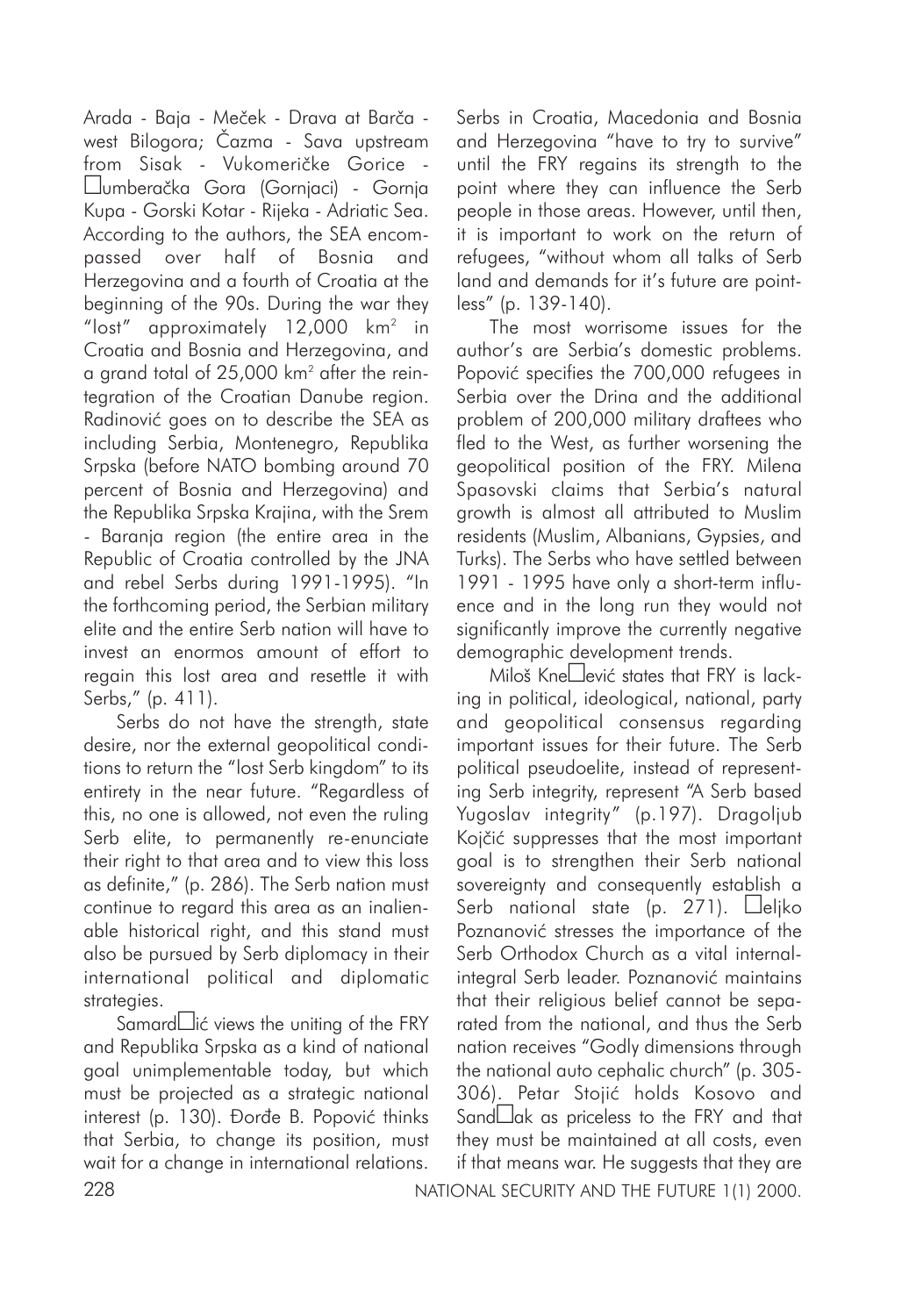Arada - Baja - Meèek - Drava at Barèa west Bilogora; Èazma - Sava upstream from Sisak - Vukomeričke Gorice umberaèka Gora (Gornjaci) - Gornja Kupa - Gorski Kotar - Rijeka - Adriatic Sea. According to the authors, the SEA encompassed over half of Bosnia and Herzegovina and a fourth of Croatia at the beginning of the 90s. During the war they "lost" approximately  $12,000$  km<sup>2</sup> in Croatia and Bosnia and Herzegovina, and a grand total of 25,000 km<sup>2</sup> after the reintegration of the Croatian Danube region. Radinović goes on to describe the SEA as including Serbia, Montenegro, Republika Srpska (before NATO bombing around 70 percent of Bosnia and Herzegovina) and the Republika Srpska Krajina, with the Srem - Baranja region (the entire area in the Republic of Croatia controlled by the JNA and rebel Serbs during 1991-1995). "In the forthcoming period, the Serbian military elite and the entire Serb nation will have to invest an enormos amount of effort to regain this lost area and resettle it with Serbs," (p. 411).

Serbs do not have the strength, state desire, nor the external geopolitical conditions to return the "lost Serb kingdom" to its entirety in the near future. "Regardless of this, no one is allowed, not even the ruling Serb elite, to permanently re-enunciate their right to that area and to view this loss as definite," (p. 286). The Serb nation must continue to regard this area as an inalienable historical right, and this stand must also be pursued by Serb diplomacy in their international political and diplomatic strategies.

Samard $\Box$ ić views the uniting of the FRY and Republika Srpska as a kind of national goal unimplementable today, but which must be projected as a strategic national interest (p. 130). Đorđe B. Popović thinks that Serbia, to change its position, must wait for a change in international relations.

Serbs in Croatia, Macedonia and Bosnia and Herzegovina "have to try to survive" until the FRY regains its strength to the point where they can influence the Serb people in those areas. However, until then, it is important to work on the return of refugees, "without whom all talks of Serb land and demands for it's future are pointless" (p. 139-140).

The most worrisome issues for the author's are Serbia's domestic problems. Popović specifies the 700,000 refugees in Serbia over the Drina and the additional problem of 200,000 military draftees who fled to the West, as further worsening the geopolitical position of the FRY. Milena Spasovski claims that Serbia's natural growth is almost all attributed to Muslim residents (Muslim, Albanians, Gypsies, and Turks). The Serbs who have settled between 1991 - 1995 have only a short-term influence and in the long run they would not significantly improve the currently negative demographic development trends.

Miloš Kne $\square$ ević states that FRY is lacking in political, ideological, national, party and geopolitical consensus regarding important issues for their future. The Serb political pseudoelite, instead of representing Serb integrity, represent "A Serb based Yugoslav integrity" (p.197). Dragoljub Kojčić suppresses that the most important goal is to strengthen their Serb national sovereignty and consequently establish a Serb national state (p. 271).  $\square$ eliko Poznanović stresses the importance of the Serb Orthodox Church as a vital internalintegral Serb leader. Poznanović maintains that their religious belief cannot be separated from the national, and thus the Serb nation receives "Godly dimensions through the national auto cephalic church" (p. 305- 306). Petar Stojić holds Kosovo and Sand $\Box$ ak as priceless to the FRY and that they must be maintained at all costs, even if that means war. He suggests that they are

228 NATIONAL SECURITY AND THE FUTURE 1(1) 2000.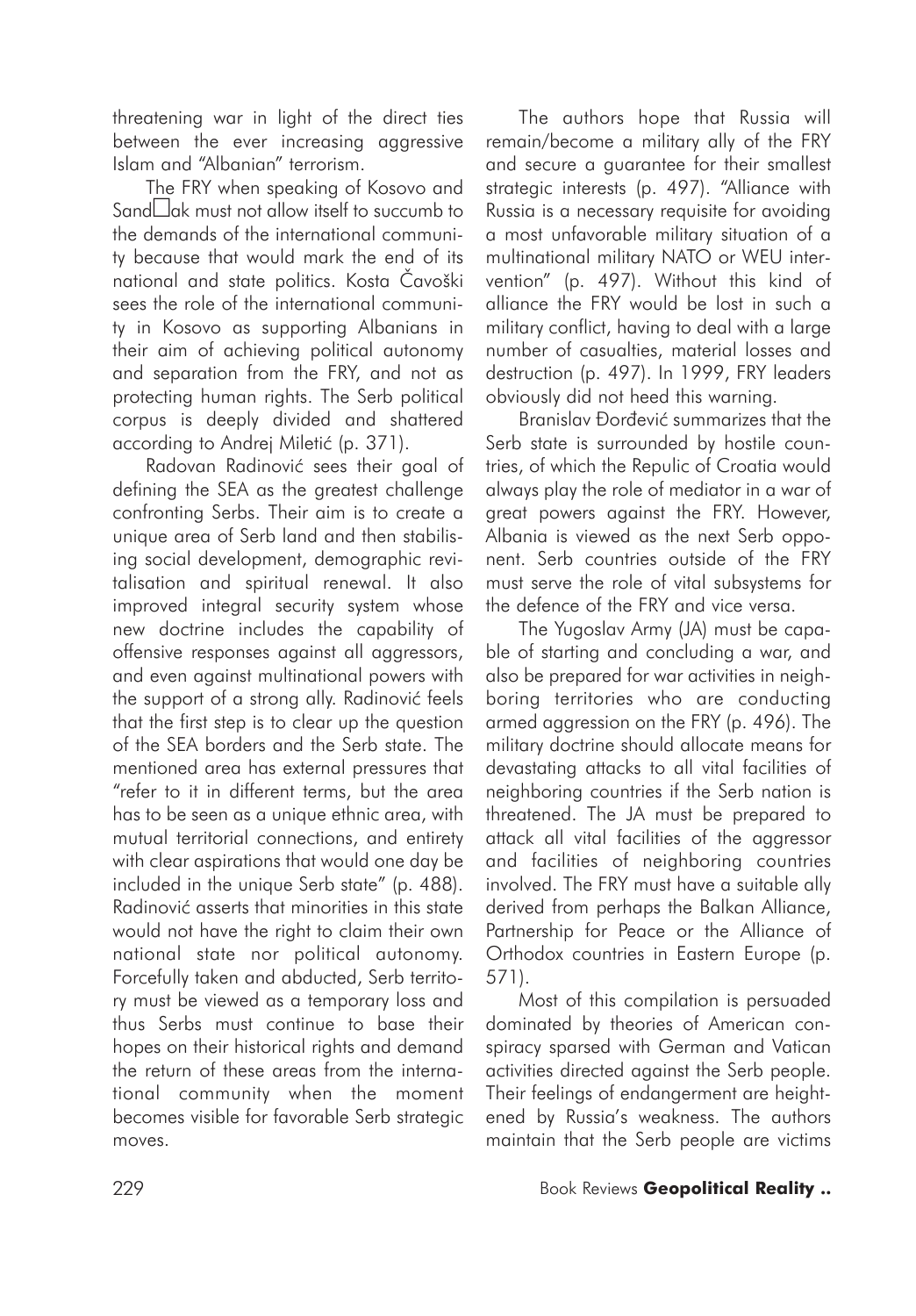threatening war in light of the direct ties between the ever increasing aggressive Islam and "Albanian" terrorism.

The FRY when speaking of Kosovo and Sand $\square$ ak must not allow itself to succumb to the demands of the international community because that would mark the end of its national and state politics. Kosta Èavoški sees the role of the international community in Kosovo as supporting Albanians in their aim of achieving political autonomy and separation from the FRY, and not as protecting human rights. The Serb political corpus is deeply divided and shattered according to Andrej Miletić (p. 371).

Radovan Radinović sees their goal of defining the SEA as the greatest challenge confronting Serbs. Their aim is to create a unique area of Serb land and then stabilising social development, demographic revitalisation and spiritual renewal. It also improved integral security system whose new doctrine includes the capability of offensive responses against all aggressors, and even against multinational powers with the support of a strong ally. Radinović feels that the first step is to clear up the question of the SEA borders and the Serb state. The mentioned area has external pressures that "refer to it in different terms, but the area has to be seen as a unique ethnic area, with mutual territorial connections, and entirety with clear aspirations that would one day be included in the unique Serb state" (p. 488). Radinović asserts that minorities in this state would not have the right to claim their own national state nor political autonomy. Forcefully taken and abducted, Serb territory must be viewed as a temporary loss and thus Serbs must continue to base their hopes on their historical rights and demand the return of these areas from the international community when the moment becomes visible for favorable Serb strategic moves.

The authors hope that Russia will remain/become a military ally of the FRY and secure a guarantee for their smallest strategic interests (p. 497). "Alliance with Russia is a necessary requisite for avoiding a most unfavorable military situation of a multinational military NATO or WEU intervention" (p. 497). Without this kind of alliance the FRY would be lost in such a military conflict, having to deal with a large number of casualties, material losses and destruction (p. 497). In 1999, FRY leaders obviously did not heed this warning.

Branislav Đorđević summarizes that the Serb state is surrounded by hostile countries, of which the Repulic of Croatia would always play the role of mediator in a war of great powers against the FRY. However, Albania is viewed as the next Serb opponent. Serb countries outside of the FRY must serve the role of vital subsystems for the defence of the FRY and vice versa.

The Yugoslav Army (JA) must be capable of starting and concluding a war, and also be prepared for war activities in neighboring territories who are conducting armed aggression on the FRY (p. 496). The military doctrine should allocate means for devastating attacks to all vital facilities of neighboring countries if the Serb nation is threatened. The JA must be prepared to attack all vital facilities of the aggressor and facilities of neighboring countries involved. The FRY must have a suitable ally derived from perhaps the Balkan Alliance, Partnership for Peace or the Alliance of Orthodox countries in Eastern Europe (p. 571).

Most of this compilation is persuaded dominated by theories of American conspiracy sparsed with German and Vatican activities directed against the Serb people. Their feelings of endangerment are heightened by Russia's weakness. The authors maintain that the Serb people are victims

#### 229 Book Reviews **Geopolitical Reality ..**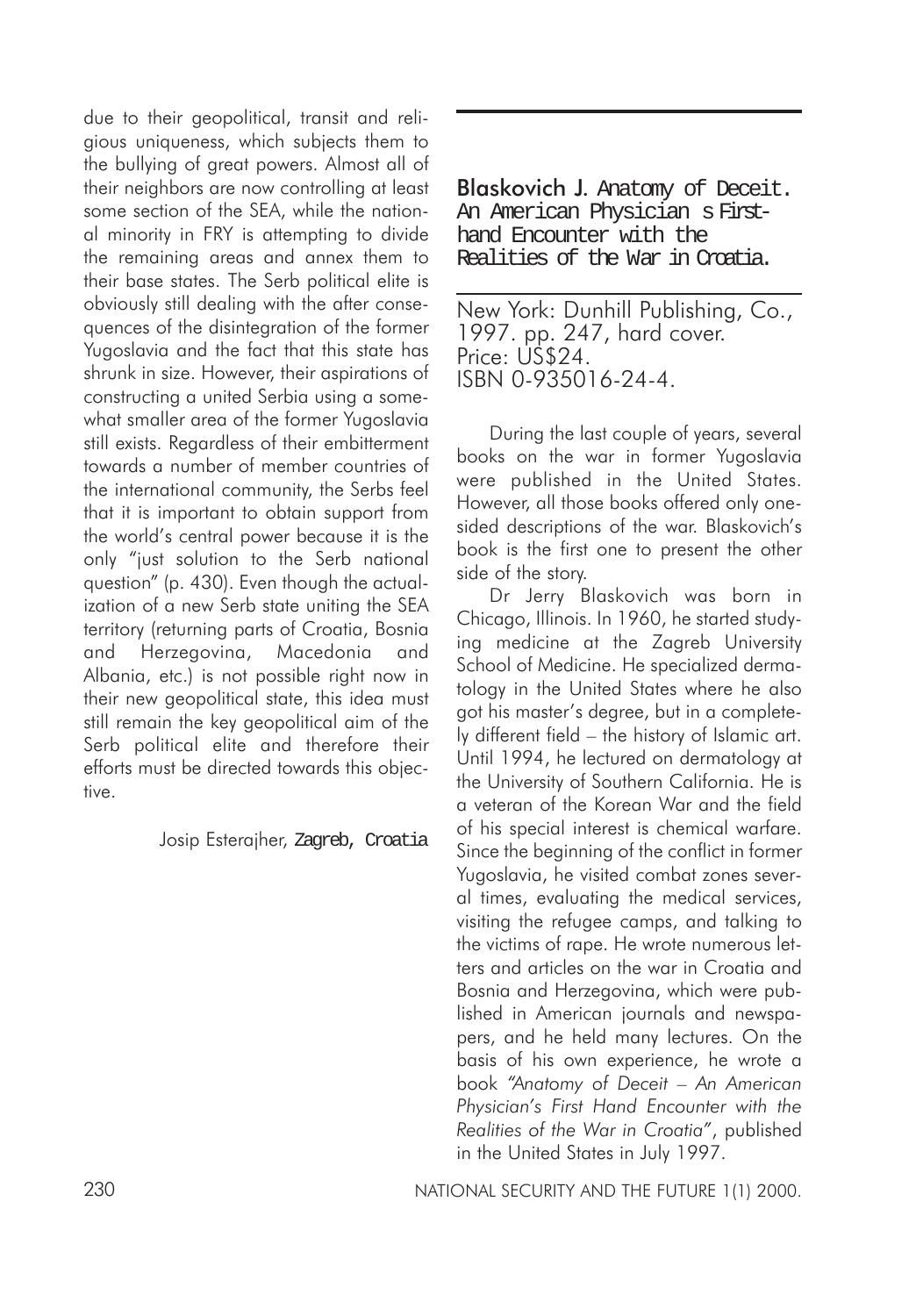due to their geopolitical, transit and religious uniqueness, which subjects them to the bullying of great powers. Almost all of their neighbors are now controlling at least some section of the SEA, while the national minority in FRY is attempting to divide the remaining areas and annex them to their base states. The Serb political elite is obviously still dealing with the after consequences of the disintegration of the former Yugoslavia and the fact that this state has shrunk in size. However, their aspirations of constructing a united Serbia using a somewhat smaller area of the former Yugoslavia still exists. Regardless of their embitterment towards a number of member countries of the international community, the Serbs feel that it is important to obtain support from the world's central power because it is the only "just solution to the Serb national question" (p. 430). Even though the actualization of a new Serb state uniting the SEA territory (returning parts of Croatia, Bosnia and Herzegovina, Macedonia and Albania, etc.) is not possible right now in their new geopolitical state, this idea must still remain the key geopolitical aim of the Serb political elite and therefore their efforts must be directed towards this objective.

Josip Esterajher, Zagreb, Croatia

Blaskovich J. Anatomy of Deceit. An American Physician s Firsthand Encounter with the Realities of the War in Croatia.

New York: Dunhill Publishing, Co., 1997. pp. 247, hard cover. Price: US\$24. ISBN 0-935016-24-4.

During the last couple of years, several books on the war in former Yugoslavia were published in the United States. However, all those books offered only onesided descriptions of the war. Blaskovich's book is the first one to present the other side of the story.

Dr Jerry Blaskovich was born in Chicago, Illinois. In 1960, he started studying medicine at the Zagreb University School of Medicine. He specialized dermatology in the United States where he also got his master's degree, but in a completely different field – the history of Islamic art. Until 1994, he lectured on dermatology at the University of Southern California. He is a veteran of the Korean War and the field of his special interest is chemical warfare. Since the beginning of the conflict in former Yugoslavia, he visited combat zones several times, evaluating the medical services, visiting the refugee camps, and talking to the victims of rape. He wrote numerous letters and articles on the war in Croatia and Bosnia and Herzegovina, which were published in American journals and newspapers, and he held many lectures. On the basis of his own experience, he wrote a book *"Anatomy of Deceit – An American Physician's First Hand Encounter with the Realities of the War in Croatia"*, published in the United States in July 1997.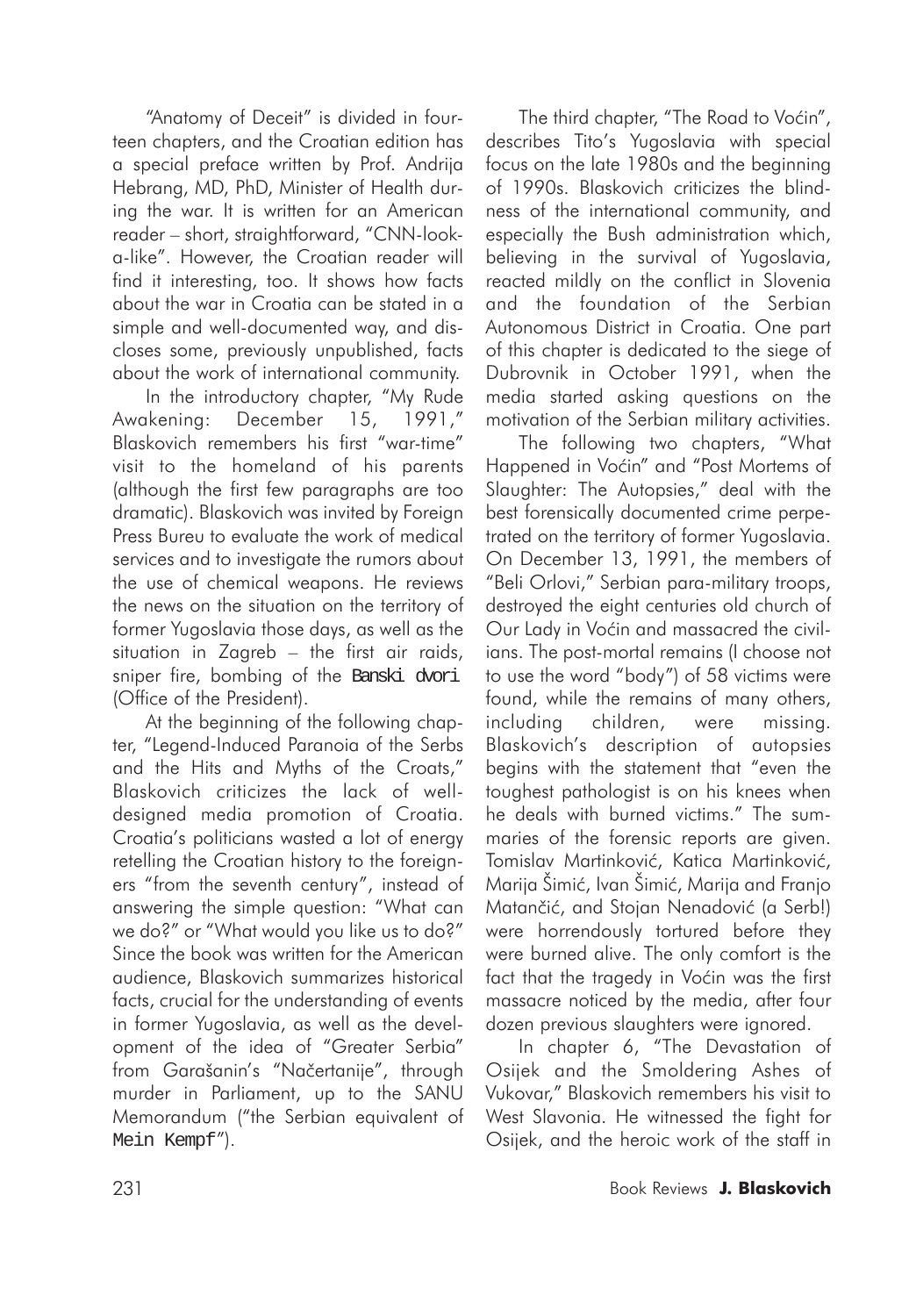"Anatomy of Deceit" is divided in fourteen chapters, and the Croatian edition has a special preface written by Prof. Andrija Hebrang, MD, PhD, Minister of Health during the war. It is written for an American reader – short, straightforward, "CNN-looka-like". However, the Croatian reader will find it interesting, too. It shows how facts about the war in Croatia can be stated in a simple and well-documented way, and discloses some, previously unpublished, facts about the work of international community.

In the introductory chapter, "My Rude Awakening: December 15, 1991," Blaskovich remembers his first "war-time" visit to the homeland of his parents (although the first few paragraphs are too dramatic). Blaskovich was invited by Foreign Press Bureu to evaluate the work of medical services and to investigate the rumors about the use of chemical weapons. He reviews the news on the situation on the territory of former Yugoslavia those days, as well as the situation in Zagreb – the first air raids, sniper fire, bombing of the Banski dvori (Office of the President).

At the beginning of the following chapter, "Legend-Induced Paranoia of the Serbs and the Hits and Myths of the Croats," Blaskovich criticizes the lack of welldesigned media promotion of Croatia. Croatia's politicians wasted a lot of energy retelling the Croatian history to the foreigners "from the seventh century", instead of answering the simple question: "What can we do?" or "What would you like us to do?" Since the book was written for the American audience, Blaskovich summarizes historical facts, crucial for the understanding of events in former Yugoslavia, as well as the development of the idea of "Greater Serbia" from Garašanin's "Naèertanije", through murder in Parliament, up to the SANU Memorandum ("the Serbian equivalent of Mein Kempf").

The third chapter, "The Road to Voćin", describes Tito's Yugoslavia with special focus on the late 1980s and the beginning of 1990s. Blaskovich criticizes the blindness of the international community, and especially the Bush administration which, believing in the survival of Yugoslavia, reacted mildly on the conflict in Slovenia and the foundation of the Serbian Autonomous District in Croatia. One part of this chapter is dedicated to the siege of Dubrovnik in October 1991, when the media started asking questions on the motivation of the Serbian military activities.

The following two chapters, "What Happened in Voćin" and "Post Mortems of Slaughter: The Autopsies," deal with the best forensically documented crime perpetrated on the territory of former Yugoslavia. On December 13, 1991, the members of "Beli Orlovi," Serbian para-military troops, destroyed the eight centuries old church of Our Lady in Voćin and massacred the civilians. The post-mortal remains (I choose not to use the word "body") of 58 victims were found, while the remains of many others, including children, were missing. Blaskovich's description of autopsies begins with the statement that "even the toughest pathologist is on his knees when he deals with burned victims." The summaries of the forensic reports are given. Tomislav Martinković, Katica Martinković, Marija Šimiæ, Ivan Šimiæ, Marija and Franjo Matančić, and Stojan Nenadović (a Serb!) were horrendously tortured before they were burned alive. The only comfort is the fact that the tragedy in Voćin was the first massacre noticed by the media, after four dozen previous slaughters were ignored.

In chapter 6, "The Devastation of Osijek and the Smoldering Ashes of Vukovar," Blaskovich remembers his visit to West Slavonia. He witnessed the fight for Osijek, and the heroic work of the staff in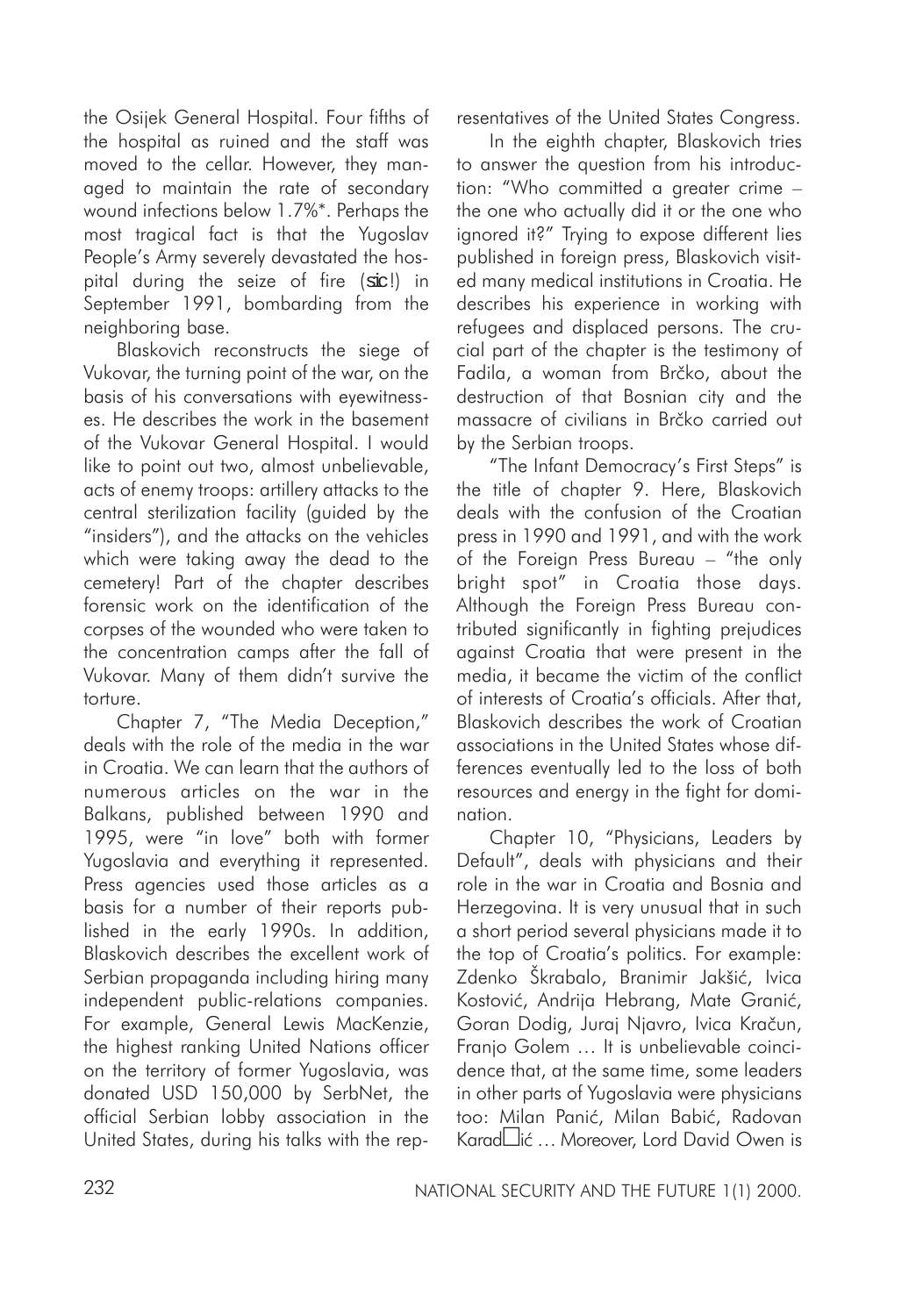the Osijek General Hospital. Four fifths of the hospital as ruined and the staff was moved to the cellar. However, they managed to maintain the rate of secondary wound infections below 1.7%\*. Perhaps the most tragical fact is that the Yugoslav People's Army severely devastated the hospital during the seize of fire (sic!) in September 1991, bombarding from the neighboring base.

Blaskovich reconstructs the siege of Vukovar, the turning point of the war, on the basis of his conversations with eyewitnesses. He describes the work in the basement of the Vukovar General Hospital. I would like to point out two, almost unbelievable, acts of enemy troops: artillery attacks to the central sterilization facility (guided by the "insiders"), and the attacks on the vehicles which were taking away the dead to the cemetery! Part of the chapter describes forensic work on the identification of the corpses of the wounded who were taken to the concentration camps after the fall of Vukovar. Many of them didn't survive the torture.

Chapter 7, "The Media Deception," deals with the role of the media in the war in Croatia. We can learn that the authors of numerous articles on the war in the Balkans, published between 1990 and 1995, were "in love" both with former Yugoslavia and everything it represented. Press agencies used those articles as a basis for a number of their reports published in the early 1990s. In addition, Blaskovich describes the excellent work of Serbian propaganda including hiring many independent public-relations companies. For example, General Lewis MacKenzie, the highest ranking United Nations officer on the territory of former Yugoslavia, was donated USD 150,000 by SerbNet, the official Serbian lobby association in the United States, during his talks with the representatives of the United States Congress.

In the eighth chapter, Blaskovich tries to answer the question from his introduction: "Who committed a greater crime – the one who actually did it or the one who ignored it?" Trying to expose different lies published in foreign press, Blaskovich visited many medical institutions in Croatia. He describes his experience in working with refugees and displaced persons. The crucial part of the chapter is the testimony of Fadila, a woman from Brčko, about the destruction of that Bosnian city and the massacre of civilians in Brèko carried out by the Serbian troops.

"The Infant Democracy's First Steps" is the title of chapter 9. Here, Blaskovich deals with the confusion of the Croatian press in 1990 and 1991, and with the work of the Foreign Press Bureau – "the only bright spot" in Croatia those days. Although the Foreign Press Bureau contributed significantly in fighting prejudices against Croatia that were present in the media, it became the victim of the conflict of interests of Croatia's officials. After that, Blaskovich describes the work of Croatian associations in the United States whose differences eventually led to the loss of both resources and energy in the fight for domination.

Chapter 10, "Physicians, Leaders by Default", deals with physicians and their role in the war in Croatia and Bosnia and Herzegovina. It is very unusual that in such a short period several physicians made it to the top of Croatia's politics. For example: Zdenko Škrabalo, Branimir Jakšić, Ivica Kostović, Andrija Hebrang, Mate Granić, Goran Dodig, Juraj Njavro, Ivica Kraèun, Franjo Golem … It is unbelievable coincidence that, at the same time, some leaders in other parts of Yugoslavia were physicians too: Milan Panić, Milan Babić, Radovan KaradLlić ... Moreover, Lord David Owen is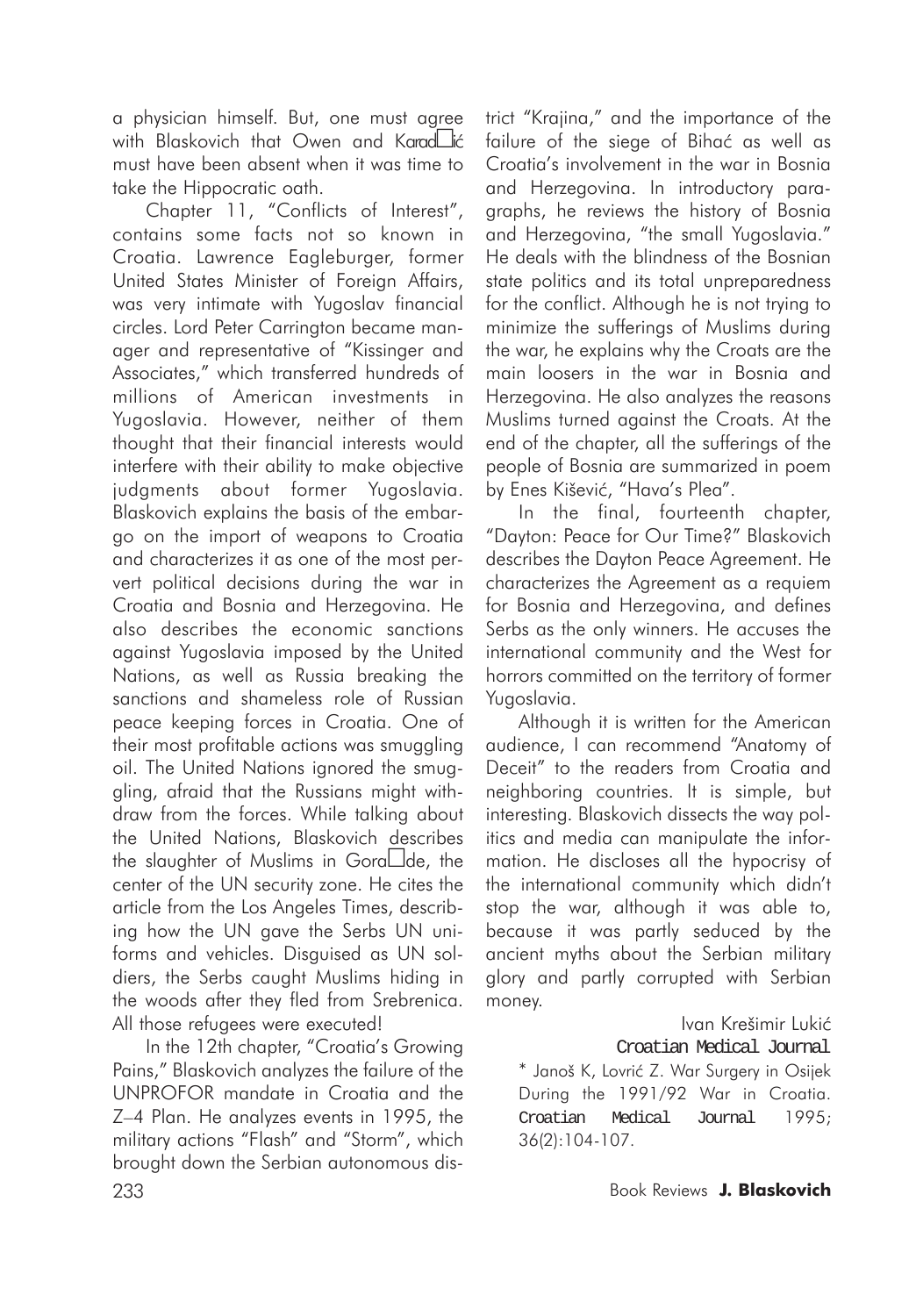a physician himself. But, one must agree with Blaskovich that Owen and Karad**h**ić must have been absent when it was time to take the Hippocratic oath.

Chapter 11, "Conflicts of Interest", contains some facts not so known in Croatia. Lawrence Eagleburger, former United States Minister of Foreign Affairs, was very intimate with Yugoslav financial circles. Lord Peter Carrington became manager and representative of "Kissinger and Associates," which transferred hundreds of millions of American investments in Yugoslavia. However, neither of them thought that their financial interests would interfere with their ability to make objective judgments about former Yugoslavia. Blaskovich explains the basis of the embargo on the import of weapons to Croatia and characterizes it as one of the most pervert political decisions during the war in Croatia and Bosnia and Herzegovina. He also describes the economic sanctions against Yugoslavia imposed by the United Nations, as well as Russia breaking the sanctions and shameless role of Russian peace keeping forces in Croatia. One of their most profitable actions was smuggling oil. The United Nations ignored the smuggling, afraid that the Russians might withdraw from the forces. While talking about the United Nations, Blaskovich describes the slaughter of Muslims in Gora $\square$ de, the center of the UN security zone. He cites the article from the Los Angeles Times, describing how the UN gave the Serbs UN uniforms and vehicles. Disguised as UN soldiers, the Serbs caught Muslims hiding in the woods after they fled from Srebrenica. All those refugees were executed!

233 Book Reviews **J. Blaskovich** In the 12th chapter, "Croatia's Growing Pains," Blaskovich analyzes the failure of the UNPROFOR mandate in Croatia and the Z–4 Plan. He analyzes events in 1995, the military actions "Flash" and "Storm", which brought down the Serbian autonomous dis-

trict "Krajina," and the importance of the failure of the siege of Bihać as well as Croatia's involvement in the war in Bosnia and Herzegovina. In introductory paragraphs, he reviews the history of Bosnia and Herzegovina, "the small Yugoslavia." He deals with the blindness of the Bosnian state politics and its total unpreparedness for the conflict. Although he is not trying to minimize the sufferings of Muslims during the war, he explains why the Croats are the main loosers in the war in Bosnia and Herzegovina. He also analyzes the reasons Muslims turned against the Croats. At the end of the chapter, all the sufferings of the people of Bosnia are summarized in poem by Enes Kišević, "Hava's Plea".

In the final, fourteenth chapter, "Dayton: Peace for Our Time?" Blaskovich describes the Dayton Peace Agreement. He characterizes the Agreement as a requiem for Bosnia and Herzegovina, and defines Serbs as the only winners. He accuses the international community and the West for horrors committed on the territory of former Yugoslavia.

Although it is written for the American audience, I can recommend "Anatomy of Deceit" to the readers from Croatia and neighboring countries. It is simple, but interesting. Blaskovich dissects the way politics and media can manipulate the information. He discloses all the hypocrisy of the international community which didn't stop the war, although it was able to, because it was partly seduced by the ancient myths about the Serbian military glory and partly corrupted with Serbian money.

## Ivan Krešimir Lukić

## Croatian Medical Journal

\* Janoš K, Lovriæ Z. War Surgery in Osijek During the 1991/92 War in Croatia. Croatian Medical Journal 1995; 36(2):104-107.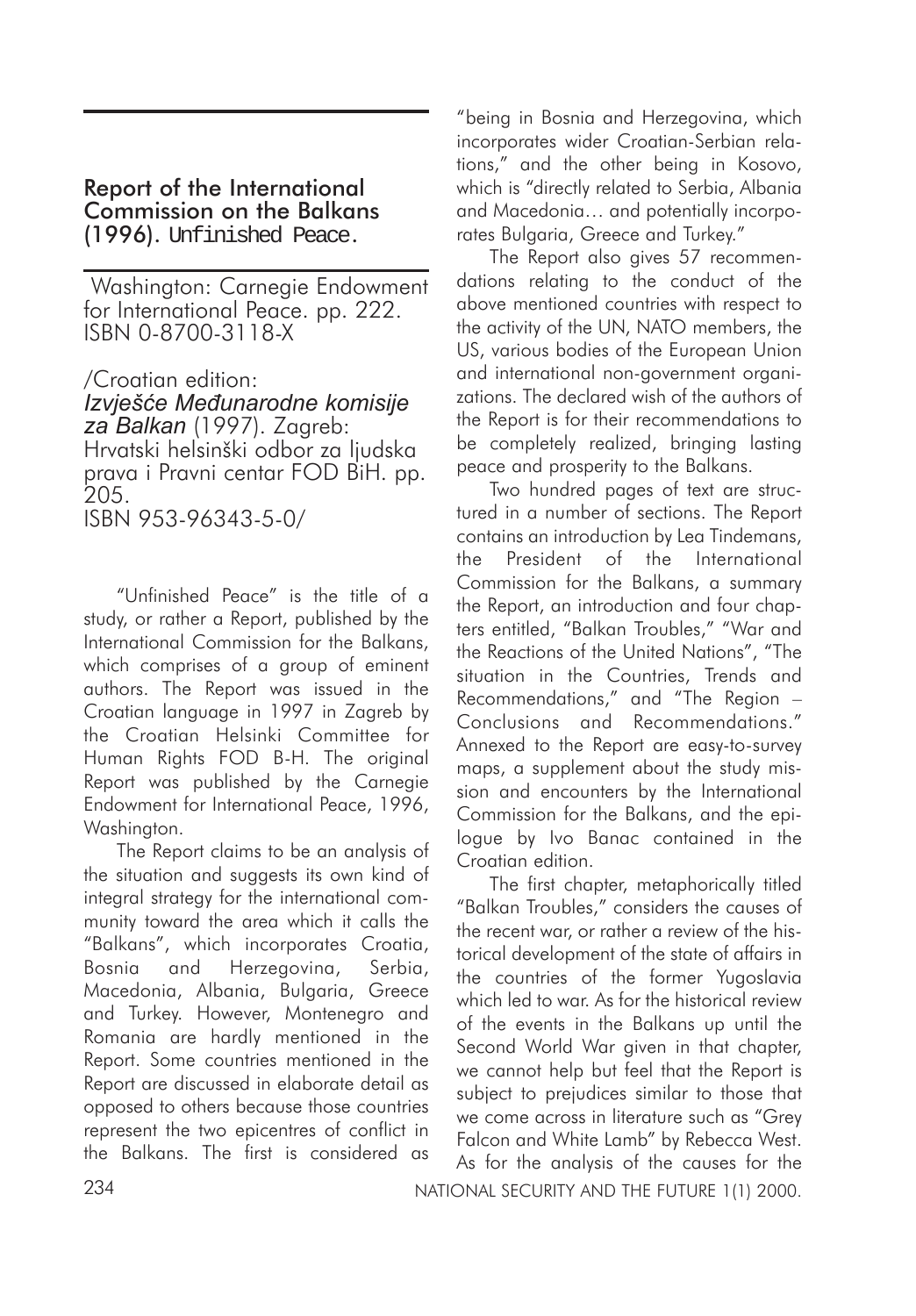## Report of the International Commission on the Balkans (1996). Unfinished Peace.

Washington: Carnegie Endowment for International Peace. pp. 222. ISBN 0-8700-3118-X

/Croatian edition: *Izvješće Međunarodne komisije za Balkan* (1997). Zagreb: Hrvatski helsinški odbor za ljudska prava i Pravni centar FOD BiH. pp. 205. ISBN 953-96343-5-0/

"Unfinished Peace" is the title of a study, or rather a Report, published by the International Commission for the Balkans, which comprises of a group of eminent authors. The Report was issued in the Croatian language in 1997 in Zagreb by the Croatian Helsinki Committee for Human Rights FOD B-H. The original Report was published by the Carnegie Endowment for International Peace, 1996, Washinaton.

The Report claims to be an analysis of the situation and suggests its own kind of integral strategy for the international community toward the area which it calls the "Balkans", which incorporates Croatia, Bosnia and Herzegovina, Serbia, Macedonia, Albania, Bulgaria, Greece and Turkey. However, Montenegro and Romania are hardly mentioned in the Report. Some countries mentioned in the Report are discussed in elaborate detail as opposed to others because those countries represent the two epicentres of conflict in the Balkans. The first is considered as

"being in Bosnia and Herzegovina, which incorporates wider Croatian-Serbian relations," and the other being in Kosovo, which is "directly related to Serbia, Albania and Macedonia… and potentially incorporates Bulgaria, Greece and Turkey."

The Report also gives 57 recommendations relating to the conduct of the above mentioned countries with respect to the activity of the UN, NATO members, the US, various bodies of the European Union and international non-government organizations. The declared wish of the authors of the Report is for their recommendations to be completely realized, bringing lasting peace and prosperity to the Balkans.

Two hundred pages of text are structured in a number of sections. The Report contains an introduction by Lea Tindemans, the President of the International Commission for the Balkans, a summary the Report, an introduction and four chapters entitled, "Balkan Troubles," "War and the Reactions of the United Nations", "The situation in the Countries, Trends and Recommendations," and "The Region – Conclusions and Recommendations." Annexed to the Report are easy-to-survey maps, a supplement about the study mission and encounters by the International Commission for the Balkans, and the epilogue by Ivo Banac contained in the Croatian edition.

The first chapter, metaphorically titled "Balkan Troubles," considers the causes of the recent war, or rather a review of the historical development of the state of affairs in the countries of the former Yugoslavia which led to war. As for the historical review of the events in the Balkans up until the Second World War given in that chapter, we cannot help but feel that the Report is subject to prejudices similar to those that we come across in literature such as "Grey Falcon and White Lamb" by Rebecca West. As for the analysis of the causes for the

234 NATIONAL SECURITY AND THE FUTURE 1(1) 2000.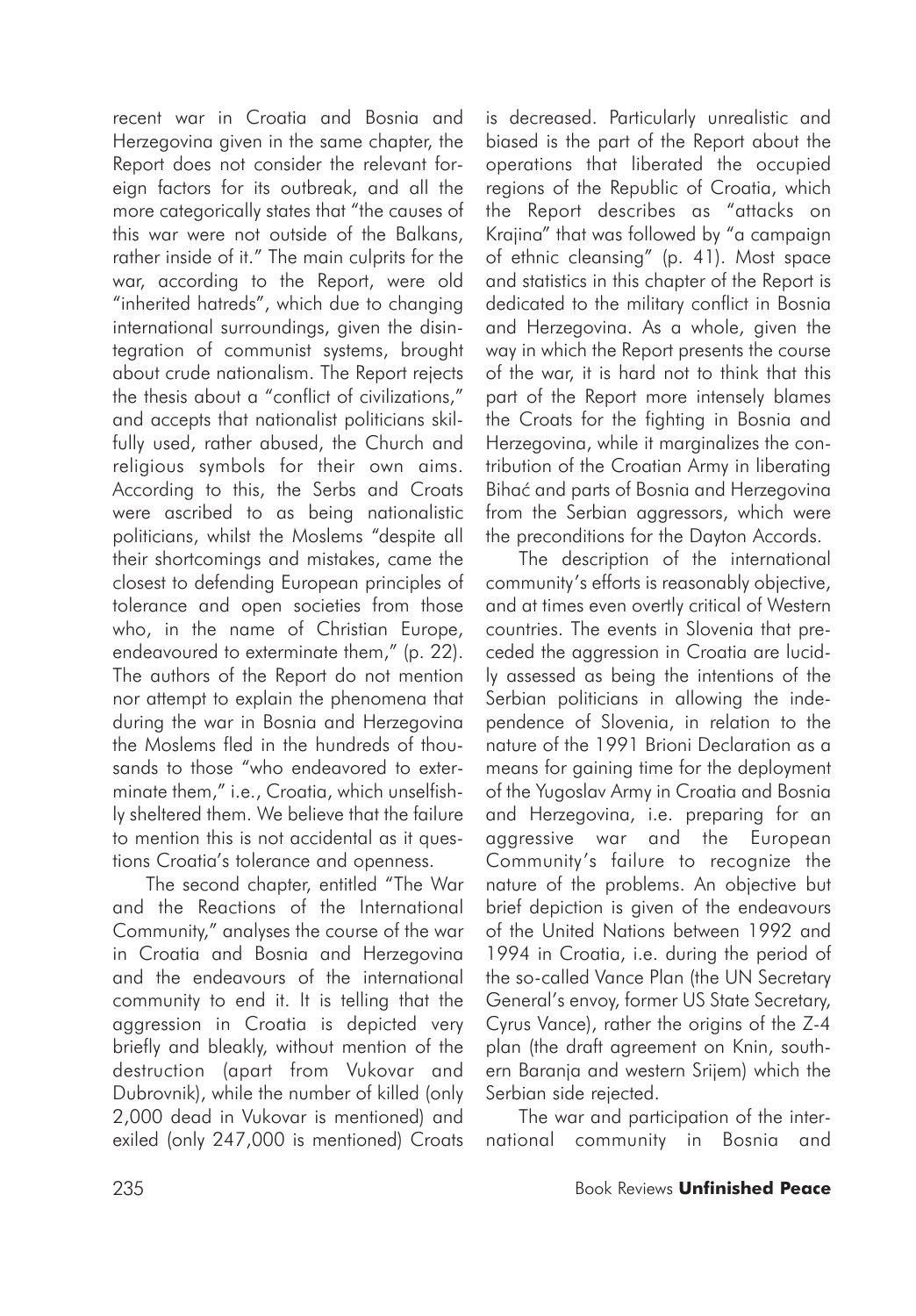recent war in Croatia and Bosnia and Herzegovina given in the same chapter, the Report does not consider the relevant foreign factors for its outbreak, and all the more categorically states that "the causes of this war were not outside of the Balkans, rather inside of it." The main culprits for the war, according to the Report, were old "inherited hatreds", which due to changing international surroundings, given the disintegration of communist systems, brought about crude nationalism. The Report rejects the thesis about a "conflict of civilizations," and accepts that nationalist politicians skilfully used, rather abused, the Church and religious symbols for their own aims. According to this, the Serbs and Croats were ascribed to as being nationalistic politicians, whilst the Moslems "despite all their shortcomings and mistakes, came the closest to defending European principles of tolerance and open societies from those who, in the name of Christian Europe, endeavoured to exterminate them," (p. 22). The authors of the Report do not mention nor attempt to explain the phenomena that during the war in Bosnia and Herzegovina the Moslems fled in the hundreds of thousands to those "who endeavored to exterminate them," i.e., Croatia, which unselfishly sheltered them. We believe that the failure to mention this is not accidental as it questions Croatia's tolerance and openness.

The second chapter, entitled "The War and the Reactions of the International Community," analyses the course of the war in Croatia and Bosnia and Herzegovina and the endeavours of the international community to end it. It is telling that the aggression in Croatia is depicted very briefly and bleakly, without mention of the destruction (apart from Vukovar and Dubrovnik), while the number of killed (only 2,000 dead in Vukovar is mentioned) and exiled (only 247,000 is mentioned) Croats

is decreased. Particularly unrealistic and biased is the part of the Report about the operations that liberated the occupied regions of the Republic of Croatia, which the Report describes as "attacks on Krajina" that was followed by "a campaign of ethnic cleansing" (p. 41). Most space and statistics in this chapter of the Report is dedicated to the military conflict in Bosnia and Herzegovina. As a whole, given the way in which the Report presents the course of the war, it is hard not to think that this part of the Report more intensely blames the Croats for the fighting in Bosnia and Herzegovina, while it marginalizes the contribution of the Croatian Army in liberating Bihać and parts of Bosnia and Herzegovina from the Serbian aggressors, which were the preconditions for the Dayton Accords.

The description of the international community's efforts is reasonably objective, and at times even overtly critical of Western countries. The events in Slovenia that preceded the aggression in Croatia are lucidly assessed as being the intentions of the Serbian politicians in allowing the independence of Slovenia, in relation to the nature of the 1991 Brioni Declaration as a means for gaining time for the deployment of the Yugoslav Army in Croatia and Bosnia and Herzegovina, i.e. preparing for an aggressive war and the European Community's failure to recognize the nature of the problems. An objective but brief depiction is given of the endeavours of the United Nations between 1992 and 1994 in Croatia, i.e. during the period of the so-called Vance Plan (the UN Secretary General's envoy, former US State Secretary, Cyrus Vance), rather the origins of the Z-4 plan (the draft agreement on Knin, southern Baranja and western Srijem) which the Serbian side rejected.

The war and participation of the international community in Bosnia and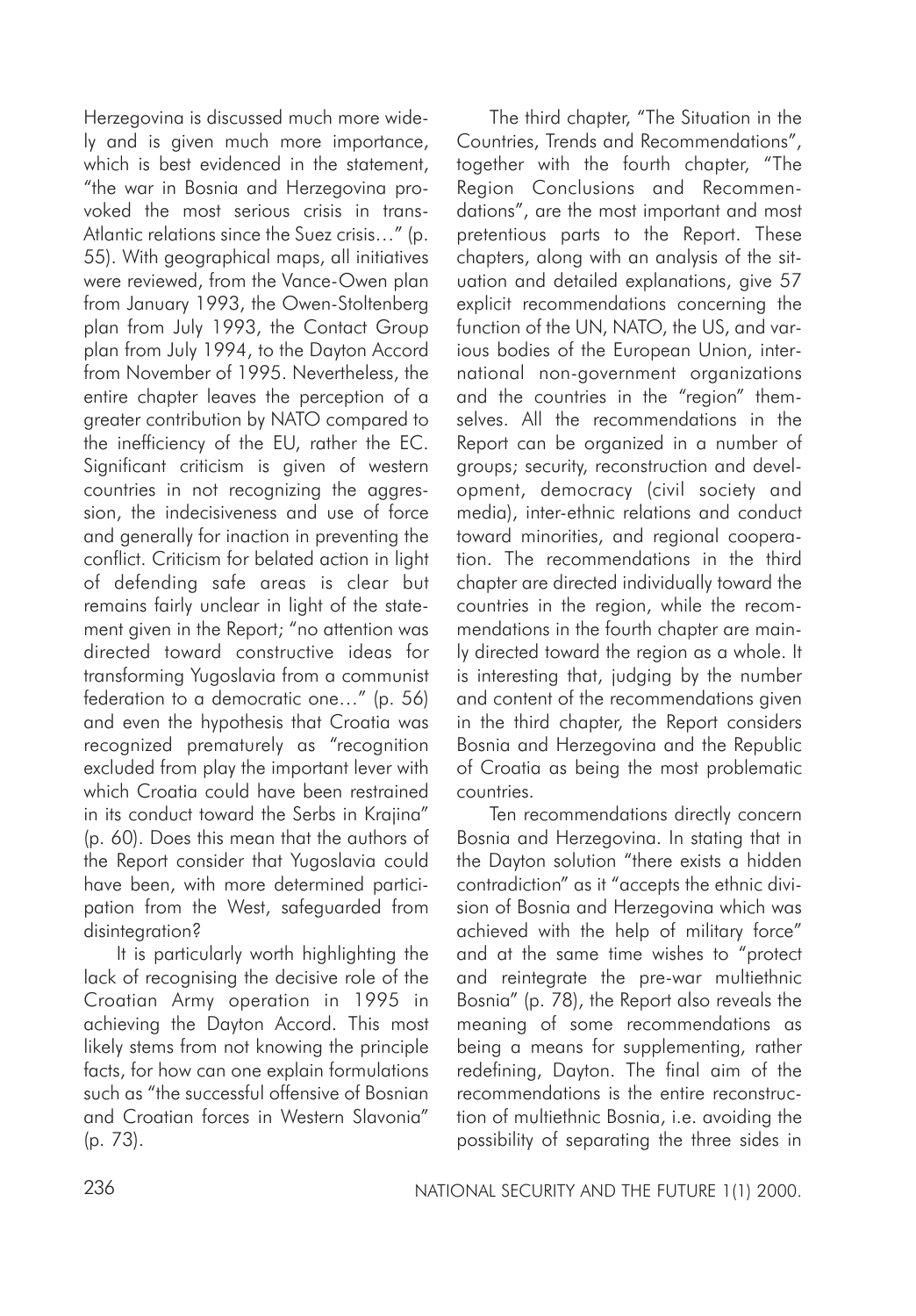Herzegovina is discussed much more widely and is given much more importance, which is best evidenced in the statement, "the war in Bosnia and Herzegovina provoked the most serious crisis in trans-Atlantic relations since the Suez crisis…" (p. 55). With geographical maps, all initiatives were reviewed, from the Vance-Owen plan from January 1993, the Owen-Stoltenberg plan from July 1993, the Contact Group plan from July 1994, to the Dayton Accord from November of 1995. Nevertheless, the entire chapter leaves the perception of a greater contribution by NATO compared to the inefficiency of the EU, rather the EC. Significant criticism is given of western countries in not recognizing the aggression, the indecisiveness and use of force and generally for inaction in preventing the conflict. Criticism for belated action in light of defending safe areas is clear but remains fairly unclear in light of the statement given in the Report; "no attention was directed toward constructive ideas for transforming Yugoslavia from a communist federation to a democratic one…" (p. 56) and even the hypothesis that Croatia was recognized prematurely as "recognition excluded from play the important lever with which Croatia could have been restrained in its conduct toward the Serbs in Krajina" (p. 60). Does this mean that the authors of the Report consider that Yugoslavia could have been, with more determined participation from the West, safeguarded from disintegration?

It is particularly worth highlighting the lack of recognising the decisive role of the Croatian Army operation in 1995 in achieving the Dayton Accord. This most likely stems from not knowing the principle facts, for how can one explain formulations such as "the successful offensive of Bosnian and Croatian forces in Western Slavonia" (p. 73).

The third chapter, "The Situation in the Countries, Trends and Recommendations", together with the fourth chapter, "The Region Conclusions and Recommendations", are the most important and most pretentious parts to the Report. These chapters, along with an analysis of the situation and detailed explanations, give 57 explicit recommendations concerning the function of the UN, NATO, the US, and various bodies of the European Union, international non-government organizations and the countries in the "region" themselves. All the recommendations in the Report can be organized in a number of groups; security, reconstruction and development, democracy (civil society and media), inter-ethnic relations and conduct toward minorities, and regional cooperation. The recommendations in the third chapter are directed individually toward the countries in the region, while the recommendations in the fourth chapter are mainly directed toward the region as a whole. It is interesting that, judging by the number and content of the recommendations given in the third chapter, the Report considers Bosnia and Herzegovina and the Republic of Croatia as being the most problematic countries.

Ten recommendations directly concern Bosnia and Herzegovina. In stating that in the Dayton solution "there exists a hidden contradiction" as it "accepts the ethnic division of Bosnia and Herzegovina which was achieved with the help of military force" and at the same time wishes to "protect and reintegrate the pre-war multiethnic Bosnia" (p. 78), the Report also reveals the meaning of some recommendations as being a means for supplementing, rather redefining, Dayton. The final aim of the recommendations is the entire reconstruction of multiethnic Bosnia, i.e. avoiding the possibility of separating the three sides in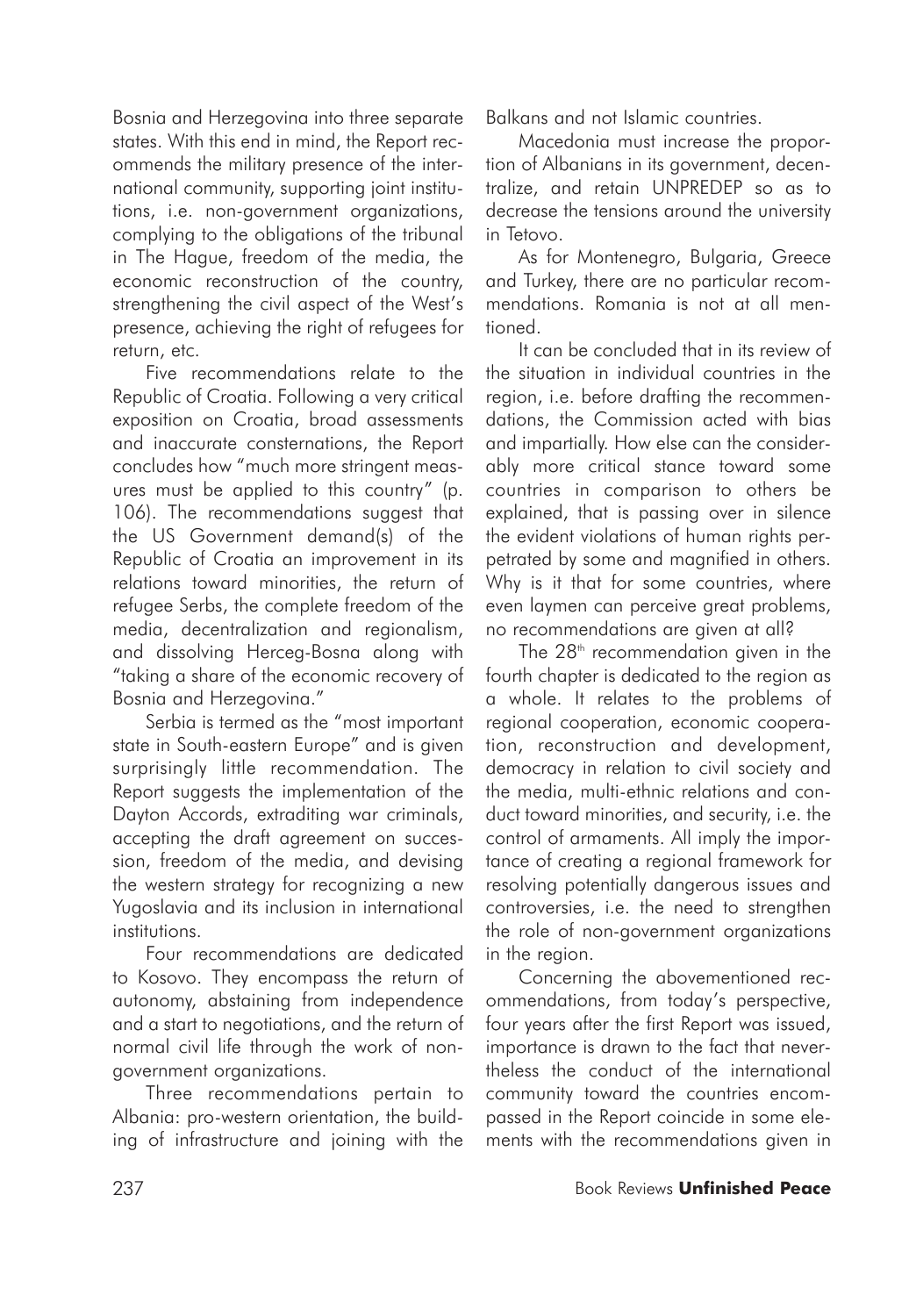Bosnia and Herzegovina into three separate states. With this end in mind, the Report recommends the military presence of the international community, supporting joint institutions, i.e. non-government organizations, complying to the obligations of the tribunal in The Hague, freedom of the media, the economic reconstruction of the country, strengthening the civil aspect of the West's presence, achieving the right of refugees for return, etc.

Five recommendations relate to the Republic of Croatia. Following a very critical exposition on Croatia, broad assessments and inaccurate consternations, the Report concludes how "much more stringent measures must be applied to this country" (p. 106). The recommendations suggest that the US Government demand(s) of the Republic of Croatia an improvement in its relations toward minorities, the return of refugee Serbs, the complete freedom of the media, decentralization and regionalism, and dissolving Herceg-Bosna along with "taking a share of the economic recovery of Bosnia and Herzegovina."

Serbia is termed as the "most important state in South-eastern Europe" and is given surprisingly little recommendation. The Report suggests the implementation of the Dayton Accords, extraditing war criminals, accepting the draft agreement on succession, freedom of the media, and devising the western strategy for recognizing a new Yugoslavia and its inclusion in international institutions.

Four recommendations are dedicated to Kosovo. They encompass the return of autonomy, abstaining from independence and a start to negotiations, and the return of normal civil life through the work of nongovernment organizations.

Three recommendations pertain to Albania: pro-western orientation, the building of infrastructure and joining with the Balkans and not Islamic countries.

Macedonia must increase the proportion of Albanians in its government, decentralize, and retain UNPREDEP so as to decrease the tensions around the university in Tetovo.

As for Montenegro, Bulgaria, Greece and Turkey, there are no particular recommendations. Romania is not at all mentioned.

It can be concluded that in its review of the situation in individual countries in the region, i.e. before drafting the recommendations, the Commission acted with bias and impartially. How else can the considerably more critical stance toward some countries in comparison to others be explained, that is passing over in silence the evident violations of human rights perpetrated by some and magnified in others. Why is it that for some countries, where even laymen can perceive great problems, no recommendations are given at all?

The 28<sup>th</sup> recommendation given in the fourth chapter is dedicated to the region as a whole. It relates to the problems of regional cooperation, economic cooperation, reconstruction and development, democracy in relation to civil society and the media, multi-ethnic relations and conduct toward minorities, and security, i.e. the control of armaments. All imply the importance of creating a regional framework for resolving potentially dangerous issues and controversies, i.e. the need to strengthen the role of non-government organizations in the region.

Concerning the abovementioned recommendations, from today's perspective, four years after the first Report was issued, importance is drawn to the fact that nevertheless the conduct of the international community toward the countries encompassed in the Report coincide in some elements with the recommendations given in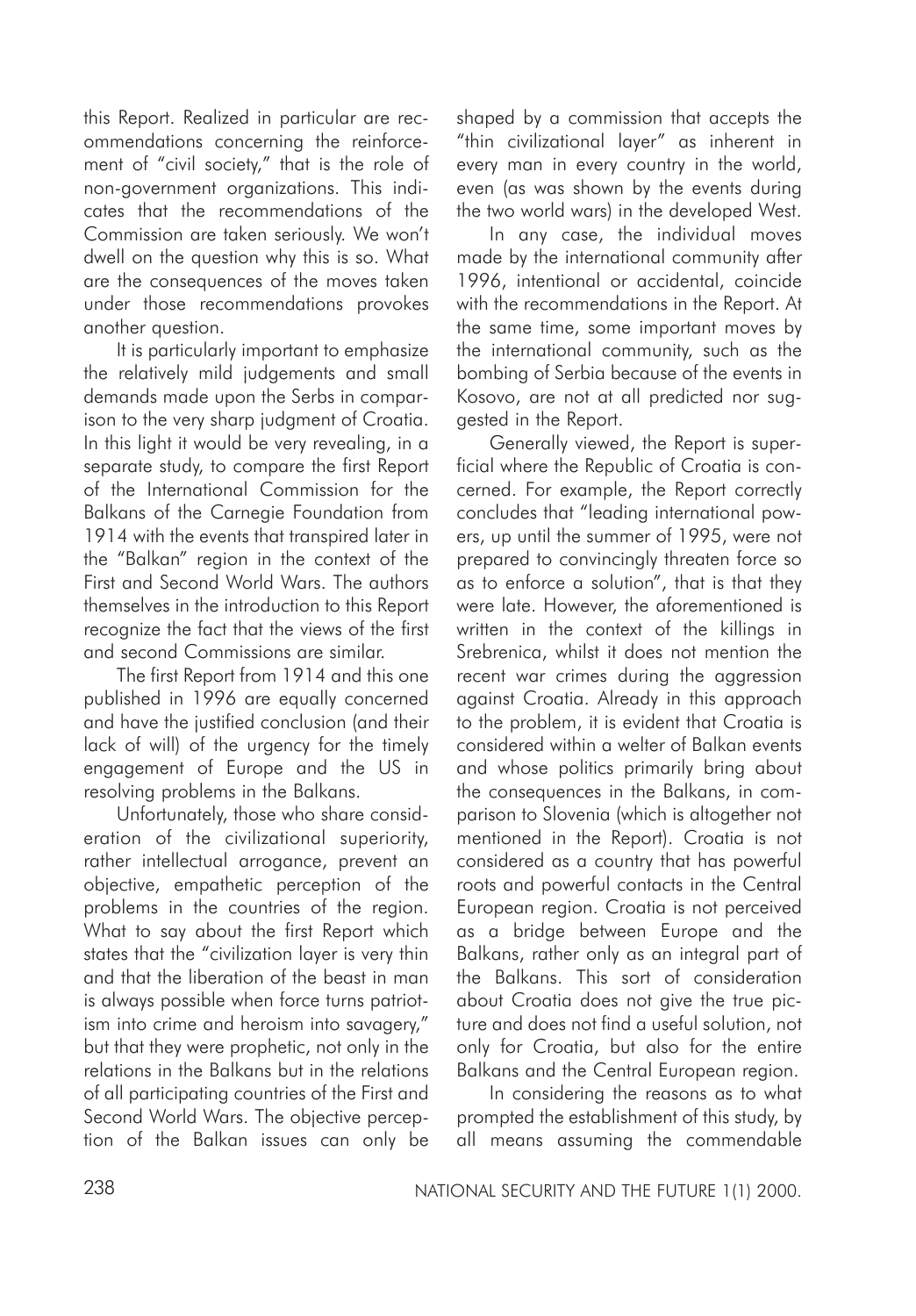this Report. Realized in particular are recommendations concerning the reinforcement of "civil society," that is the role of non-government organizations. This indicates that the recommendations of the Commission are taken seriously. We won't dwell on the question why this is so. What are the consequences of the moves taken under those recommendations provokes another question.

It is particularly important to emphasize the relatively mild judgements and small demands made upon the Serbs in comparison to the very sharp judgment of Croatia. In this light it would be very revealing, in a separate study, to compare the first Report of the International Commission for the Balkans of the Carnegie Foundation from 1914 with the events that transpired later in the "Balkan" region in the context of the First and Second World Wars. The authors themselves in the introduction to this Report recognize the fact that the views of the first and second Commissions are similar.

The first Report from 1914 and this one published in 1996 are equally concerned and have the justified conclusion (and their lack of will) of the urgency for the timely engagement of Europe and the US in resolving problems in the Balkans.

Unfortunately, those who share consideration of the civilizational superiority, rather intellectual arrogance, prevent an objective, empathetic perception of the problems in the countries of the region. What to say about the first Report which states that the "civilization layer is very thin and that the liberation of the beast in man is always possible when force turns patriotism into crime and heroism into savagery," but that they were prophetic, not only in the relations in the Balkans but in the relations of all participating countries of the First and Second World Wars. The objective perception of the Balkan issues can only be

shaped by a commission that accepts the "thin civilizational layer" as inherent in every man in every country in the world, even (as was shown by the events during the two world wars) in the developed West.

In any case, the individual moves made by the international community after 1996, intentional or accidental, coincide with the recommendations in the Report. At the same time, some important moves by the international community, such as the bombing of Serbia because of the events in Kosovo, are not at all predicted nor suggested in the Report.

Generally viewed, the Report is superficial where the Republic of Croatia is concerned. For example, the Report correctly concludes that "leading international powers, up until the summer of 1995, were not prepared to convincingly threaten force so as to enforce a solution", that is that they were late. However, the aforementioned is written in the context of the killings in Srebrenica, whilst it does not mention the recent war crimes during the aggression against Croatia. Already in this approach to the problem, it is evident that Croatia is considered within a welter of Balkan events and whose politics primarily bring about the consequences in the Balkans, in comparison to Slovenia (which is altogether not mentioned in the Report). Croatia is not considered as a country that has powerful roots and powerful contacts in the Central European region. Croatia is not perceived as a bridge between Europe and the Balkans, rather only as an integral part of the Balkans. This sort of consideration about Croatia does not give the true picture and does not find a useful solution, not only for Croatia, but also for the entire Balkans and the Central European region.

In considering the reasons as to what prompted the establishment of this study, by all means assuming the commendable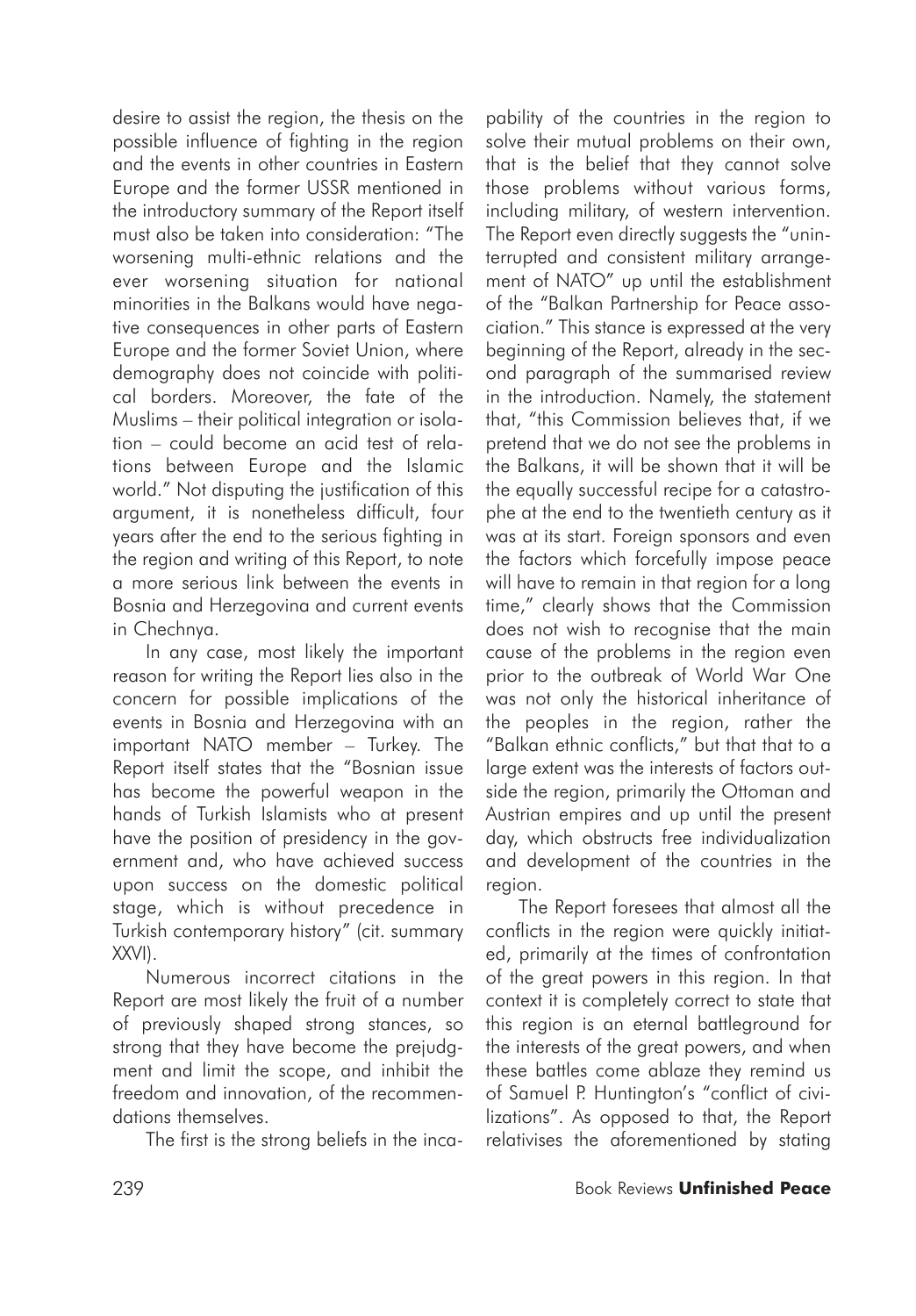desire to assist the region, the thesis on the possible influence of fighting in the region and the events in other countries in Eastern Europe and the former USSR mentioned in the introductory summary of the Report itself must also be taken into consideration: "The worsening multi-ethnic relations and the ever worsening situation for national minorities in the Balkans would have negative consequences in other parts of Eastern Europe and the former Soviet Union, where demography does not coincide with political borders. Moreover, the fate of the Muslims – their political integration or isolation – could become an acid test of relations between Europe and the Islamic world." Not disputing the justification of this argument, it is nonetheless difficult, four years after the end to the serious fighting in the region and writing of this Report, to note a more serious link between the events in Bosnia and Herzegovina and current events in Chechnya.

In any case, most likely the important reason for writing the Report lies also in the concern for possible implications of the events in Bosnia and Herzegovina with an important NATO member – Turkey. The Report itself states that the "Bosnian issue has become the powerful weapon in the hands of Turkish Islamists who at present have the position of presidency in the government and, who have achieved success upon success on the domestic political stage, which is without precedence in Turkish contemporary history" (cit. summary XXVI).

Numerous incorrect citations in the Report are most likely the fruit of a number of previously shaped strong stances, so strong that they have become the prejudgment and limit the scope, and inhibit the freedom and innovation, of the recommendations themselves.

The first is the strong beliefs in the inca-

pability of the countries in the region to solve their mutual problems on their own, that is the belief that they cannot solve those problems without various forms, including military, of western intervention. The Report even directly suggests the "uninterrupted and consistent military arrangement of NATO" up until the establishment of the "Balkan Partnership for Peace association." This stance is expressed at the very beginning of the Report, already in the second paragraph of the summarised review in the introduction. Namely, the statement that, "this Commission believes that, if we pretend that we do not see the problems in the Balkans, it will be shown that it will be the equally successful recipe for a catastrophe at the end to the twentieth century as it was at its start. Foreign sponsors and even the factors which forcefully impose peace will have to remain in that region for a long time," clearly shows that the Commission does not wish to recognise that the main cause of the problems in the region even prior to the outbreak of World War One was not only the historical inheritance of the peoples in the region, rather the "Balkan ethnic conflicts," but that that to a large extent was the interests of factors outside the region, primarily the Ottoman and Austrian empires and up until the present day, which obstructs free individualization and development of the countries in the region.

The Report foresees that almost all the conflicts in the region were quickly initiated, primarily at the times of confrontation of the great powers in this region. In that context it is completely correct to state that this region is an eternal battleground for the interests of the great powers, and when these battles come ablaze they remind us of Samuel P. Huntington's "conflict of civilizations". As opposed to that, the Report relativises the aforementioned by stating

## 239 Book Reviews **Unfinished Peace**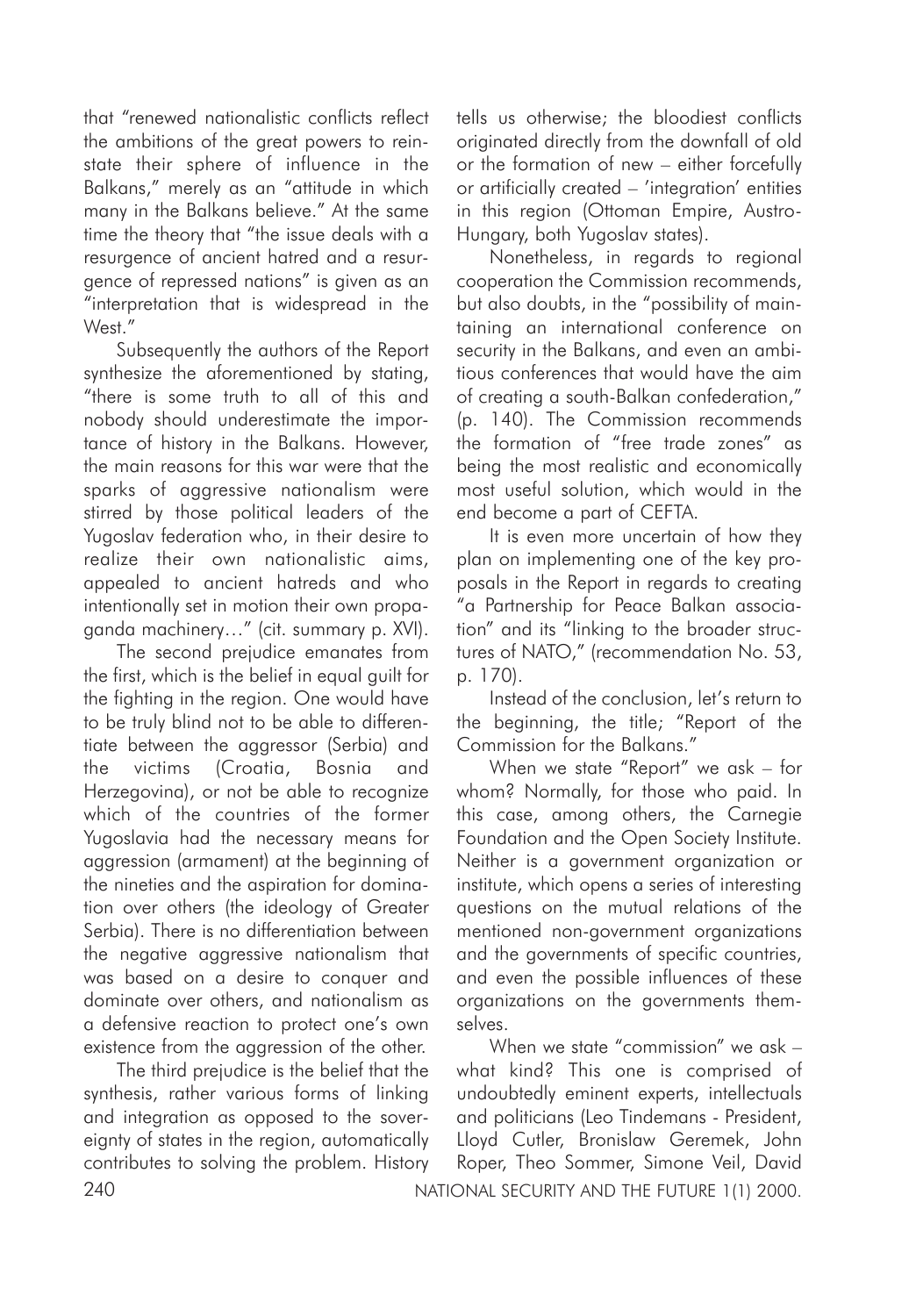that "renewed nationalistic conflicts reflect the ambitions of the great powers to reinstate their sphere of influence in the Balkans," merely as an "attitude in which many in the Balkans believe." At the same time the theory that "the issue deals with a resurgence of ancient hatred and a resurgence of repressed nations" is given as an "interpretation that is widespread in the West."

Subsequently the authors of the Report synthesize the aforementioned by stating, "there is some truth to all of this and nobody should underestimate the importance of history in the Balkans. However, the main reasons for this war were that the sparks of aggressive nationalism were stirred by those political leaders of the Yugoslav federation who, in their desire to realize their own nationalistic aims, appealed to ancient hatreds and who intentionally set in motion their own propaganda machinery…" (cit. summary p. XVI).

The second prejudice emanates from the first, which is the belief in equal quilt for the fighting in the region. One would have to be truly blind not to be able to differentiate between the aggressor (Serbia) and the victims (Croatia, Bosnia and Herzegovina), or not be able to recognize which of the countries of the former Yugoslavia had the necessary means for aggression (armament) at the beginning of the nineties and the aspiration for domination over others (the ideology of Greater Serbia). There is no differentiation between the negative aggressive nationalism that was based on a desire to conquer and dominate over others, and nationalism as a defensive reaction to protect one's own existence from the aggression of the other.

The third prejudice is the belief that the synthesis, rather various forms of linking and integration as opposed to the sovereignty of states in the region, automatically contributes to solving the problem. History tells us otherwise; the bloodiest conflicts originated directly from the downfall of old or the formation of new – either forcefully or artificially created – 'integration' entities in this region (Ottoman Empire, Austro-Hungary, both Yugoslav states).

Nonetheless, in regards to regional cooperation the Commission recommends, but also doubts, in the "possibility of maintaining an international conference on security in the Balkans, and even an ambitious conferences that would have the aim of creating a south-Balkan confederation," (p. 140). The Commission recommends the formation of "free trade zones" as being the most realistic and economically most useful solution, which would in the end become a part of CEFTA.

It is even more uncertain of how they plan on implementing one of the key proposals in the Report in regards to creating "a Partnership for Peace Balkan association" and its "linking to the broader structures of NATO," (recommendation No. 53, p. 170).

Instead of the conclusion, let's return to the beginning, the title; "Report of the Commission for the Balkans."

When we state "Report" we ask – for whom? Normally, for those who paid. In this case, among others, the Carnegie Foundation and the Open Society Institute. Neither is a government organization or institute, which opens a series of interesting questions on the mutual relations of the mentioned non-government organizations and the governments of specific countries, and even the possible influences of these organizations on the governments themselves.

240 NATIONAL SECURITY AND THE FUTURE 1(1) 2000. When we state "commission" we ask – what kind? This one is comprised of undoubtedly eminent experts, intellectuals and politicians (Leo Tindemans - President, Lloyd Cutler, Bronislaw Geremek, John Roper, Theo Sommer, Simone Veil, David